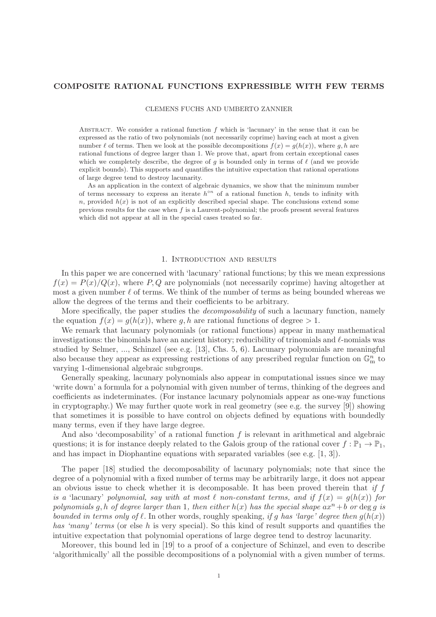# COMPOSITE RATIONAL FUNCTIONS EXPRESSIBLE WITH FEW TERMS

CLEMENS FUCHS AND UMBERTO ZANNIER

ABSTRACT. We consider a rational function  $f$  which is 'lacunary' in the sense that it can be expressed as the ratio of two polynomials (not necessarily coprime) having each at most a given number  $\ell$  of terms. Then we look at the possible decompositions  $f(x) = g(h(x))$ , where g, h are rational functions of degree larger than 1. We prove that, apart from certain exceptional cases which we completely describe, the degree of g is bounded only in terms of  $\ell$  (and we provide explicit bounds). This supports and quantifies the intuitive expectation that rational operations of large degree tend to destroy lacunarity.

As an application in the context of algebraic dynamics, we show that the minimum number of terms necessary to express an iterate  $h^{\circ n}$  of a rational function h, tends to infinity with n, provided  $h(x)$  is not of an explicitly described special shape. The conclusions extend some previous results for the case when  $f$  is a Laurent-polynomial; the proofs present several features which did not appear at all in the special cases treated so far.

# 1. Introduction and results

In this paper we are concerned with 'lacunary' rational functions; by this we mean expressions  $f(x) = P(x)/Q(x)$ , where P, Q are polynomials (not necessarily coprime) having altogether at most a given number  $\ell$  of terms. We think of the number of terms as being bounded whereas we allow the degrees of the terms and their coefficients to be arbitrary.

More specifically, the paper studies the *decomposability* of such a lacunary function, namely the equation  $f(x) = q(h(x))$ , where q, h are rational functions of degree > 1.

We remark that lacunary polynomials (or rational functions) appear in many mathematical investigations: the binomials have an ancient history; reducibility of trinomials and  $\ell$ -nomials was studied by Selmer, ..., Schinzel (see e.g. [13], Chs. 5, 6). Lacunary polynomials are meaningful also because they appear as expressing restrictions of any prescribed regular function on  $\mathbb{G}_{\text{m}}^{n}$  to varying 1-dimensional algebraic subgroups.

Generally speaking, lacunary polynomials also appear in computational issues since we may 'write down' a formula for a polynomial with given number of terms, thinking of the degrees and coefficients as indeterminates. (For instance lacunary polynomials appear as one-way functions in cryptography.) We may further quote work in real geometry (see e.g. the survey [9]) showing that sometimes it is possible to have control on objects defined by equations with boundedly many terms, even if they have large degree.

And also 'decomposability' of a rational function  $f$  is relevant in arithmetical and algebraic questions; it is for instance deeply related to the Galois group of the rational cover  $f : \mathbb{P}_1 \to \mathbb{P}_1$ , and has impact in Diophantine equations with separated variables (see e.g. [1, 3]).

The paper [18] studied the decomposability of lacunary polynomials; note that since the degree of a polynomial with a fixed number of terms may be arbitrarily large, it does not appear an obvious issue to check whether it is decomposable. It has been proved therein that if  $f$ is a 'lacunary' polynomial, say with at most  $\ell$  non-constant terms, and if  $f(x) = g(h(x))$  for polynomials g, h of degree larger than 1, then either  $h(x)$  has the special shape  $ax^n + b$  or deg q is bounded in terms only of  $\ell$ . In other words, roughly speaking, if g has 'large' degree then  $g(h(x))$ has 'many' terms (or else h is very special). So this kind of result supports and quantifies the intuitive expectation that polynomial operations of large degree tend to destroy lacunarity.

Moreover, this bound led in [19] to a proof of a conjecture of Schinzel, and even to describe 'algorithmically' all the possible decompositions of a polynomial with a given number of terms.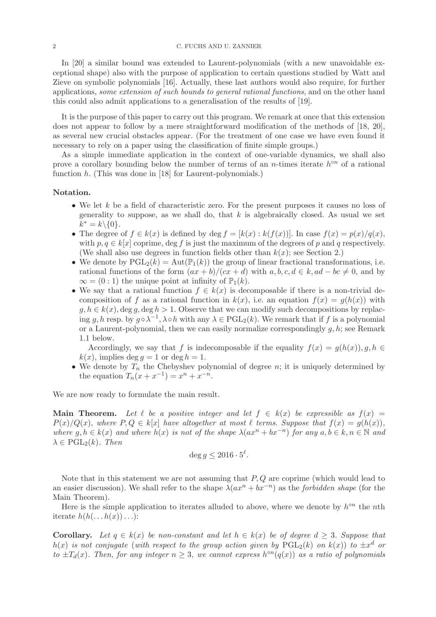In [20] a similar bound was extended to Laurent-polynomials (with a new unavoidable exceptional shape) also with the purpose of application to certain questions studied by Watt and Zieve on symbolic polynomials [16]. Actually, these last authors would also require, for further applications, some extension of such bounds to general rational functions, and on the other hand this could also admit applications to a generalisation of the results of [19].

It is the purpose of this paper to carry out this program. We remark at once that this extension does not appear to follow by a mere straightforward modification of the methods of [18, 20], as several new crucial obstacles appear. (For the treatment of one case we have even found it necessary to rely on a paper using the classification of finite simple groups.)

As a simple immediate application in the context of one-variable dynamics, we shall also prove a corollary bounding below the number of terms of an *n*-times iterate  $h^{\circ n}$  of a rational function  $h$ . (This was done in [18] for Laurent-polynomials.)

## Notation.

- We let k be a field of characteristic zero. For the present purposes it causes no loss of generality to suppose, as we shall do, that  $k$  is algebraically closed. As usual we set  $k^* = k \setminus \{0\}.$
- The degree of  $f \in k(x)$  is defined by deg  $f = [k(x) : k(f(x))]$ . In case  $f(x) = p(x)/q(x)$ , with  $p, q \in k[x]$  coprime, deg f is just the maximum of the degrees of p and q respectively. (We shall also use degrees in function fields other than  $k(x)$ ; see Section 2.)
- We denote by  $\text{PGL}_2(k) = \text{Aut}(\mathbb{P}_1(k))$  the group of linear fractional transformations, i.e. rational functions of the form  $(ax + b)/(cx + d)$  with  $a, b, c, d \in k$ ,  $ad - bc \neq 0$ , and by  $\infty = (0:1)$  the unique point at infinity of  $\mathbb{P}_1(k)$ .
- We say that a rational function  $f \in k(x)$  is decomposable if there is a non-trivial decomposition of f as a rational function in  $k(x)$ , i.e. an equation  $f(x) = g(h(x))$  with  $g, h \in k(x)$ , deg  $g, \text{deg } h > 1$ . Observe that we can modify such decompositions by replacing g, h resp. by  $g \circ \lambda^{-1}$ ,  $\lambda \circ h$  with any  $\lambda \in \mathrm{PGL}_2(k)$ . We remark that if f is a polynomial or a Laurent-polynomial, then we can easily normalize correspondingly  $q, h$ ; see Remark 1.1 below.

Accordingly, we say that f is indecomposable if the equality  $f(x) = g(h(x)), g, h \in$  $k(x)$ , implies deg  $q = 1$  or deg  $h = 1$ .

• We denote by  $T_n$  the Chebyshev polynomial of degree n; it is uniquely determined by the equation  $T_n(x + x^{-1}) = x^n + x^{-n}$ .

We are now ready to formulate the main result.

Main Theorem. Let  $\ell$  be a positive integer and let  $f \in k(x)$  be expressible as  $f(x) =$  $P(x)/Q(x)$ , where  $P, Q \in k[x]$  have altogether at most  $\ell$  terms. Suppose that  $f(x) = q(h(x))$ , where  $g, h \in k(x)$  and where  $h(x)$  is not of the shape  $\lambda(ax^n + bx^{-n})$  for any  $a, b \in k, n \in \mathbb{N}$  and  $\lambda \in \mathrm{PGL}_2(k)$ . Then

$$
\deg g \le 2016 \cdot 5^{\ell}.
$$

Note that in this statement we are not assuming that  $P, Q$  are coprime (which would lead to an easier discussion). We shall refer to the shape  $\lambda(ax^n + bx^{-n})$  as the *forbidden shape* (for the Main Theorem).

Here is the simple application to iterates alluded to above, where we denote by  $h^{\circ n}$  the nth iterate  $h(h(\ldots h(x))\ldots)$ :

**Corollary.** Let  $q \in k(x)$  be non-constant and let  $h \in k(x)$  be of degree  $d \geq 3$ . Suppose that  $h(x)$  is not conjugate (with respect to the group action given by  $PGL_2(k)$  on  $k(x)$ ) to  $\pm x^d$  or to  $\pm T_d(x)$ . Then, for any integer  $n \geq 3$ , we cannot express  $h^{\circ n}(q(x))$  as a ratio of polynomials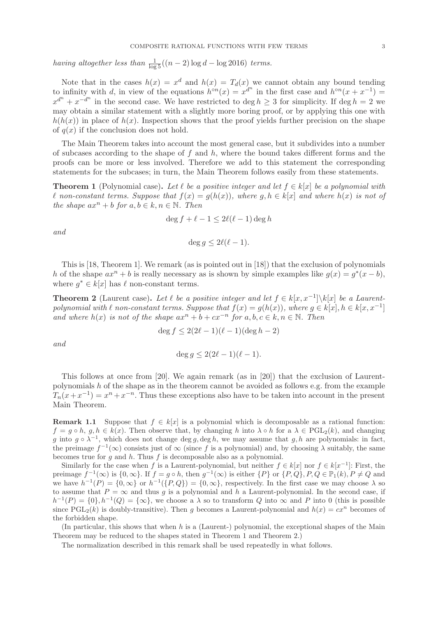having altogether less than  $\frac{1}{\log 5}((n-2)\log d - \log 2016)$  terms.

Note that in the cases  $h(x) = x^d$  and  $h(x) = T_d(x)$  we cannot obtain any bound tending to infinity with d, in view of the equations  $h^{\circ n}(x) = x^{d^n}$  in the first case and  $h^{\circ n}(x + x^{-1}) =$  $x^{d^n} + x^{-d^n}$  in the second case. We have restricted to deg  $h \geq 3$  for simplicity. If deg  $h = 2$  we may obtain a similar statement with a slightly more boring proof, or by applying this one with  $h(h(x))$  in place of  $h(x)$ . Inspection shows that the proof yields further precision on the shape of  $q(x)$  if the conclusion does not hold.

The Main Theorem takes into account the most general case, but it subdivides into a number of subcases according to the shape of  $f$  and  $h$ , where the bound takes different forms and the proofs can be more or less involved. Therefore we add to this statement the corresponding statements for the subcases; in turn, the Main Theorem follows easily from these statements.

**Theorem 1** (Polynomial case). Let  $\ell$  be a positive integer and let  $f \in k[x]$  be a polynomial with l non-constant terms. Suppose that  $f(x) = g(h(x))$ , where  $g, h \in k[x]$  and where  $h(x)$  is not of the shape  $ax^n + b$  for  $a, b \in k, n \in \mathbb{N}$ . Then

$$
\deg f + \ell - 1 \le 2\ell(\ell - 1)\deg h
$$

and

$$
\deg g \le 2\ell(\ell-1).
$$

This is [18, Theorem 1]. We remark (as is pointed out in [18]) that the exclusion of polynomials h of the shape  $ax^n + b$  is really necessary as is shown by simple examples like  $g(x) = g^*(x - b)$ , where  $g^* \in k[x]$  has  $\ell$  non-constant terms.

**Theorem 2** (Laurent case). Let  $\ell$  be a positive integer and let  $f \in k[x, x^{-1}] \setminus k[x]$  be a Laurentpolynomial with  $\ell$  non-constant terms. Suppose that  $f(x) = g(h(x))$ , where  $g \in k[x]$ ,  $h \in k[x, x^{-1}]$ and where  $h(x)$  is not of the shape  $ax^n + b + cx^{-n}$  for  $a, b, c \in k, n \in \mathbb{N}$ . Then

 $\deg f \leq 2(2\ell-1)(\ell-1)(\deg h - 2)$ 

and

deg  $q \leq 2(2\ell-1)(\ell-1)$ .

This follows at once from [20]. We again remark (as in [20]) that the exclusion of Laurentpolynomials h of the shape as in the theorem cannot be avoided as follows e.g. from the example  $T_n(x+x^{-1}) = x^n + x^{-n}$ . Thus these exceptions also have to be taken into account in the present Main Theorem.

**Remark 1.1** Suppose that  $f \in k[x]$  is a polynomial which is decomposable as a rational function:  $f = g \circ h$ ,  $g, h \in k(x)$ . Then observe that, by changing h into  $\lambda \circ h$  for a  $\lambda \in \text{PGL}_2(k)$ , and changing g into  $g \circ \lambda^{-1}$ , which does not change deg g, deg h, we may assume that g, h are polynomials: in fact, the preimage  $f^{-1}(\infty)$  consists just of  $\infty$  (since f is a polynomial) and, by choosing  $\lambda$  suitably, the same becomes true for  $g$  and  $h$ . Thus  $f$  is decomposable also as a polynomial.

Similarly for the case when f is a Laurent-polynomial, but neither  $f \in k[x]$  nor  $f \in k[x^{-1}]$ : First, the preimage  $f^{-1}(\infty)$  is  $\{0,\infty\}$ . If  $f = g \circ h$ , then  $g^{-1}(\infty)$  is either  $\{P\}$  or  $\{P,Q\}$ ,  $P,Q \in \mathbb{P}_1(k)$ ,  $P \neq Q$  and we have  $h^{-1}(P) = \{0, \infty\}$  or  $h^{-1}(\{P, Q\}) = \{0, \infty\}$ , respectively. In the first case we may choose  $\lambda$  so to assume that  $P = \infty$  and thus g is a polynomial and h a Laurent-polynomial. In the second case, if  $h^{-1}(P) = \{0\}, h^{-1}(Q) = \{\infty\},$  we choose a  $\lambda$  so to transform Q into  $\infty$  and P into 0 (this is possible since PGL<sub>2</sub>(k) is doubly-transitive). Then q becomes a Laurent-polynomial and  $h(x) = cx^n$  becomes of the forbidden shape.

(In particular, this shows that when h is a (Laurent-) polynomial, the exceptional shapes of the Main Theorem may be reduced to the shapes stated in Theorem 1 and Theorem 2.)

The normalization described in this remark shall be used repeatedly in what follows.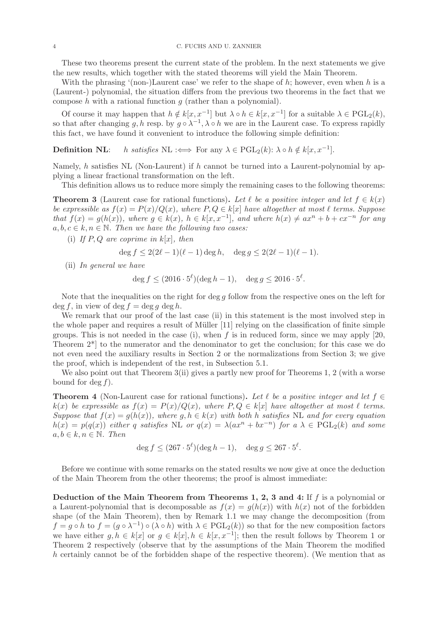These two theorems present the current state of the problem. In the next statements we give the new results, which together with the stated theorems will yield the Main Theorem.

With the phrasing '(non-)Laurent case' we refer to the shape of  $h$ ; however, even when h is a (Laurent-) polynomial, the situation differs from the previous two theorems in the fact that we compose h with a rational function  $q$  (rather than a polynomial).

Of course it may happen that  $h \notin k[x, x^{-1}]$  but  $\lambda \circ h \in k[x, x^{-1}]$  for a suitable  $\lambda \in \text{PGL}_2(k)$ , so that after changing g, h resp. by  $g \circ \lambda^{-1}$ ,  $\lambda \circ h$  we are in the Laurent case. To express rapidly this fact, we have found it convenient to introduce the following simple definition:

**Definition NL:** h satisfies  $\text{NL}$  :  $\iff$  For any  $\lambda \in \text{PGL}_2(k)$ :  $\lambda \circ h \notin k[x, x^{-1}]$ .

Namely, h satisfies NL (Non-Laurent) if h cannot be turned into a Laurent-polynomial by applying a linear fractional transformation on the left.

This definition allows us to reduce more simply the remaining cases to the following theorems:

**Theorem 3** (Laurent case for rational functions). Let  $\ell$  be a positive integer and let  $f \in k(x)$ be expressible as  $f(x) = P(x)/Q(x)$ , where  $P, Q \in k[x]$  have altogether at most  $\ell$  terms. Suppose that  $f(x) = g(h(x))$ , where  $g \in k(x)$ ,  $h \in k[x, x^{-1}]$ , and where  $h(x) \neq ax^n + b + cx^{-n}$  for any  $a, b, c \in k, n \in \mathbb{N}$ . Then we have the following two cases:

(i) If  $P, Q$  are coprime in  $k[x]$ , then

$$
\deg f \le 2(2\ell - 1)(\ell - 1)\deg h, \quad \deg g \le 2(2\ell - 1)(\ell - 1).
$$

(ii) In general we have

$$
\deg f \le (2016 \cdot 5^{\ell})(\deg h - 1), \quad \deg g \le 2016 \cdot 5^{\ell}.
$$

Note that the inequalities on the right for deg  $g$  follow from the respective ones on the left for  $\deg f$ , in view of  $\deg f = \deg q \deg h$ .

We remark that our proof of the last case (ii) in this statement is the most involved step in the whole paper and requires a result of Müller [11] relying on the classification of finite simple groups. This is not needed in the case (i), when f is in reduced form, since we may apply [20, Theorem 2\*] to the numerator and the denominator to get the conclusion; for this case we do not even need the auxiliary results in Section 2 or the normalizations from Section 3; we give the proof, which is independent of the rest, in Subsection 5.1.

We also point out that Theorem 3(ii) gives a partly new proof for Theorems 1, 2 (with a worse bound for deg  $f$ ).

**Theorem 4** (Non-Laurent case for rational functions). Let  $\ell$  be a positive integer and let  $f \in$  $k(x)$  be expressible as  $f(x) = P(x)/Q(x)$ , where  $P, Q \in k[x]$  have altogether at most  $\ell$  terms. Suppose that  $f(x) = g(h(x))$ , where  $g, h \in k(x)$  with both h satisfies NL and for every equation  $h(x) = p(q(x))$  either q satisfies NL or  $q(x) = \lambda(ax^n + bx^{-n})$  for a  $\lambda \in \text{PGL}_2(k)$  and some  $a, b \in k, n \in \mathbb{N}$ . Then

$$
\deg f \le (267 \cdot 5^{\ell})(\deg h - 1), \quad \deg g \le 267 \cdot 5^{\ell}.
$$

Before we continue with some remarks on the stated results we now give at once the deduction of the Main Theorem from the other theorems; the proof is almost immediate:

Deduction of the Main Theorem from Theorems 1, 2, 3 and 4: If f is a polynomial or a Laurent-polynomial that is decomposable as  $f(x) = g(h(x))$  with  $h(x)$  not of the forbidden shape (of the Main Theorem), then by Remark 1.1 we may change the decomposition (from  $f = g \circ h$  to  $f = (g \circ \lambda^{-1}) \circ (\lambda \circ h)$  with  $\lambda \in \text{PGL}_2(k)$  so that for the new composition factors we have either  $g, h \in k[x]$  or  $g \in k[x], h \in k[x, x^{-1}]$ ; then the result follows by Theorem 1 or Theorem 2 respectively (observe that by the assumptions of the Main Theorem the modified h certainly cannot be of the forbidden shape of the respective theorem). (We mention that as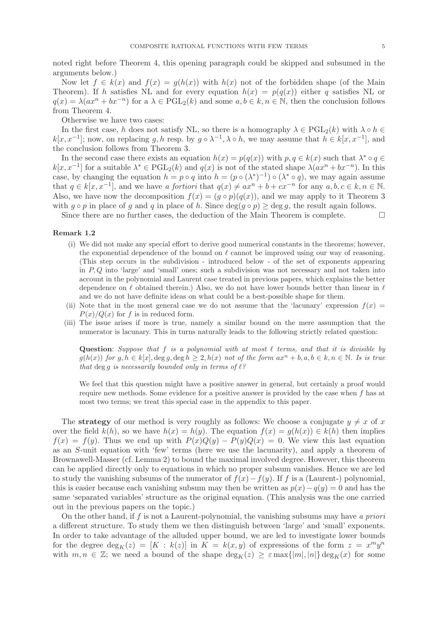noted right before Theorem 4, this opening paragraph could be skipped and subsumed in the arguments below.)

Now let  $f \in k(x)$  and  $f(x) = g(h(x))$  with  $h(x)$  not of the forbidden shape (of the Main Theorem). If h satisfies NL and for every equation  $h(x) = p(q(x))$  either q satisfies NL or  $q(x) = \lambda(ax^n + bx^{-n})$  for a  $\lambda \in \text{PGL}_2(k)$  and some  $a, b \in k, n \in \mathbb{N}$ , then the conclusion follows from Theorem 4.

Otherwise we have two cases:

In the first case, h does not satisfy NL, so there is a homography  $\lambda \in \text{PGL}_2(k)$  with  $\lambda \circ h \in$  $k[x, x^{-1}]$ ; now, on replacing g, h resp. by  $g \circ \lambda^{-1}$ ,  $\lambda \circ h$ , we may assume that  $h \in k[x, x^{-1}]$ , and the conclusion follows from Theorem 3.

In the second case there exists an equation  $h(x) = p(q(x))$  with  $p, q \in k(x)$  such that  $\lambda^* \circ q \in$  $k[x, x^{-1}]$  for a suitable  $\lambda^* \in \text{PGL}_2(k)$  and  $q(x)$  is not of the stated shape  $\lambda(ax^n + bx^{-n})$ . In this case, by changing the equation  $h = p \circ q$  into  $h = (p \circ (\lambda^*)^{-1}) \circ (\lambda^* \circ q)$ , we may again assume that  $q \in k[x, x^{-1}]$ , and we have a fortiori that  $q(x) \neq ax^n + b + cx^{-n}$  for any  $a, b, c \in k, n \in \mathbb{N}$ . Also, we have now the decomposition  $f(x) = (g \circ p)(q(x))$ , and we may apply to it Theorem 3 with  $q \circ p$  in place of q and q in place of h. Since  $\deg(q \circ p) \geq \deg q$ , the result again follows.

Since there are no further cases, the deduction of the Main Theorem is complete.  $\Box$ 

### Remark 1.2

- (i) We did not make any special effort to derive good numerical constants in the theorems; however, the exponential dependence of the bound on  $\ell$  cannot be improved using our way of reasoning. (This step occurs in the subdivision - introduced below - of the set of exponents appearing in  $P, Q$  into 'large' and 'small' ones; such a subdivision was not necessary and not taken into account in the polynomial and Laurent case treated in previous papers, which explains the better dependence on  $\ell$  obtained therein.) Also, we do not have lower bounds better than linear in  $\ell$ and we do not have definite ideas on what could be a best-possible shape for them.
- (ii) Note that in the most general case we do not assume that the 'lacunary' expression  $f(x)$  $P(x)/Q(x)$  for f is in reduced form.
- (iii) The issue arises if more is true, namely a similar bound on the mere assumption that the numerator is lacunary. This in turns naturally leads to the following strictly related question:

Question: Suppose that f is a polynomial with at most  $\ell$  terms, and that it is divisible by  $g(h(x))$  for  $g, h \in k[x]$ , deg  $g, \text{deg } h \geq 2$ ,  $h(x)$  not of the form  $ax^n + b, a, b \in k, n \in \mathbb{N}$ . Is is true that deg g is necessarily bounded only in terms of  $\ell$ ?

We feel that this question might have a positive answer in general, but certainly a proof would require new methods. Some evidence for a positive answer is provided by the case when f has at most two terms; we treat this special case in the appendix to this paper.

The strategy of our method is very roughly as follows: We choose a conjugate  $y \neq x$  of x over the field  $k(h)$ , so we have  $h(x) = h(y)$ . The equation  $f(x) = g(h(x)) \in k(h)$  then implies  $f(x) = f(y)$ . Thus we end up with  $P(x)Q(y) - P(y)Q(x) = 0$ . We view this last equation as an S-unit equation with 'few' terms (here we use the lacunarity), and apply a theorem of Brownawell-Masser (cf. Lemma 2) to bound the maximal involved degree. However, this theorem can be applied directly only to equations in which no proper subsum vanishes. Hence we are led to study the vanishing subsums of the numerator of  $f(x) - f(y)$ . If f is a (Laurent-) polynomial, this is easier because each vanishing subsum may then be written as  $p(x) - q(y) = 0$  and has the same 'separated variables' structure as the original equation. (This analysis was the one carried out in the previous papers on the topic.)

On the other hand, if  $f$  is not a Laurent-polynomial, the vanishing subsums may have a priori a different structure. To study them we then distinguish between 'large' and 'small' exponents. In order to take advantage of the alluded upper bound, we are led to investigate lower bounds for the degree  $\deg_K(z) = [K : k(z)]$  in  $K = k(x, y)$  of expressions of the form  $z = x^m y^n$ with  $m, n \in \mathbb{Z}$ ; we need a bound of the shape  $\deg_K(z) \geq \varepsilon \max\{|m|, |n|\} \deg_K(x)$  for some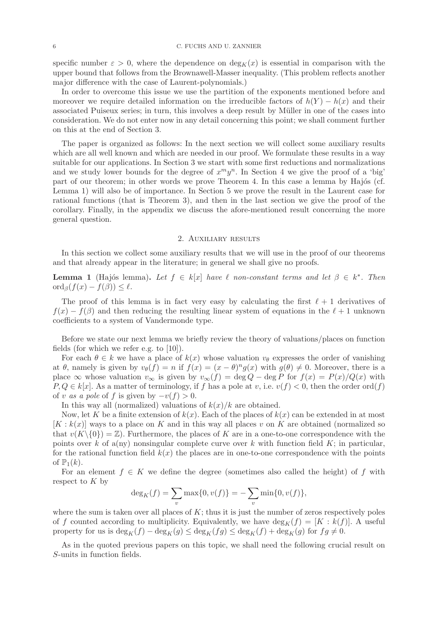specific number  $\varepsilon > 0$ , where the dependence on  $\deg_K(x)$  is essential in comparison with the upper bound that follows from the Brownawell-Masser inequality. (This problem reflects another major difference with the case of Laurent-polynomials.)

In order to overcome this issue we use the partition of the exponents mentioned before and moreover we require detailed information on the irreducible factors of  $h(Y) - h(x)$  and their associated Puiseux series; in turn, this involves a deep result by Müller in one of the cases into consideration. We do not enter now in any detail concerning this point; we shall comment further on this at the end of Section 3.

The paper is organized as follows: In the next section we will collect some auxiliary results which are all well known and which are needed in our proof. We formulate these results in a way suitable for our applications. In Section 3 we start with some first reductions and normalizations and we study lower bounds for the degree of  $x^m y^n$ . In Section 4 we give the proof of a 'big' part of our theorem; in other words we prove Theorem 4. In this case a lemma by Hajós (cf. Lemma 1) will also be of importance. In Section 5 we prove the result in the Laurent case for rational functions (that is Theorem 3), and then in the last section we give the proof of the corollary. Finally, in the appendix we discuss the afore-mentioned result concerning the more general question.

# 2. Auxiliary results

In this section we collect some auxiliary results that we will use in the proof of our theorems and that already appear in the literature; in general we shall give no proofs.

**Lemma 1** (Hajós lemma). Let  $f \in k[x]$  have  $\ell$  non-constant terms and let  $\beta \in k^*$ . Then  $\operatorname{ord}_{\beta}(f(x) - f(\beta)) \leq \ell.$ 

The proof of this lemma is in fact very easy by calculating the first  $\ell + 1$  derivatives of  $f(x) - f(\beta)$  and then reducing the resulting linear system of equations in the  $\ell + 1$  unknown coefficients to a system of Vandermonde type.

Before we state our next lemma we briefly review the theory of valuations/places on function fields (for which we refer e.g. to [10]).

For each  $\theta \in k$  we have a place of  $k(x)$  whose valuation  $v_{\theta}$  expresses the order of vanishing at  $\theta$ , namely is given by  $v_{\theta}(f) = n$  if  $f(x) = (x - \theta)^n g(x)$  with  $g(\theta) \neq 0$ . Moreover, there is a place  $\infty$  whose valuation  $v_{\infty}$  is given by  $v_{\infty}(f) = \deg Q - \deg P$  for  $f(x) = P(x)/Q(x)$  with  $P, Q \in k[x]$ . As a matter of terminology, if f has a pole at v, i.e.  $v(f) < 0$ , then the order ord $(f)$ of v as a pole of f is given by  $-v(f) > 0$ .

In this way all (normalized) valuations of  $k(x)/k$  are obtained.

Now, let K be a finite extension of  $k(x)$ . Each of the places of  $k(x)$  can be extended in at most  $[K : k(x)]$  ways to a place on K and in this way all places v on K are obtained (normalized so that  $v(K\setminus\{0\}) = \mathbb{Z}$ . Furthermore, the places of K are in a one-to-one correspondence with the points over k of a(ny) nonsingular complete curve over k with function field  $K$ ; in particular, for the rational function field  $k(x)$  the places are in one-to-one correspondence with the points of  $\mathbb{P}_1(k)$ .

For an element  $f \in K$  we define the degree (sometimes also called the height) of f with respect to  $K$  by

$$
\deg_K(f) = \sum_v \max\{0, v(f)\} = -\sum_v \min\{0, v(f)\},\
$$

where the sum is taken over all places of  $K$ ; thus it is just the number of zeros respectively poles of f counted according to multiplicity. Equivalently, we have  $\deg_K(f) = [K : k(f)]$ . A useful property for us is  $\deg_K(f) - \deg_K(g) \leq \deg_K(f)$   $\leq \deg_K(f) + \deg_K(g)$  for  $fg \neq 0$ .

As in the quoted previous papers on this topic, we shall need the following crucial result on S-units in function fields.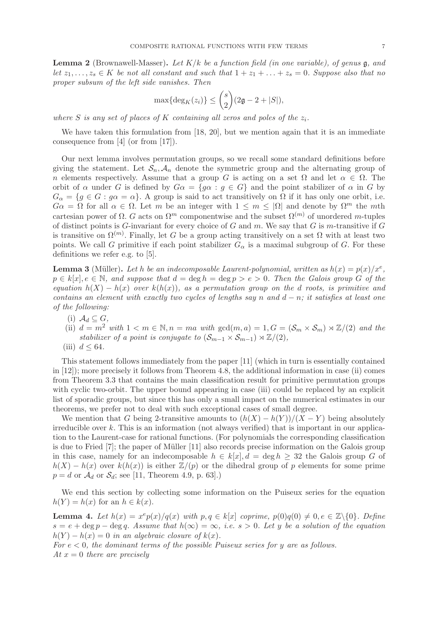**Lemma 2** (Brownawell-Masser). Let  $K/k$  be a function field (in one variable), of genus  $\mathfrak{g}$ , and let  $z_1, \ldots, z_s \in K$  be not all constant and such that  $1 + z_1 + \ldots + z_s = 0$ . Suppose also that no proper subsum of the left side vanishes. Then

$$
\max\{\deg_K(z_i)\} \le \binom{s}{2}(2\mathfrak{g}-2+|S|),
$$

where S is any set of places of K containing all zeros and poles of the  $z_i$ .

We have taken this formulation from [18, 20], but we mention again that it is an immediate consequence from [4] (or from [17]).

Our next lemma involves permutation groups, so we recall some standard definitions before giving the statement. Let  $S_n$ ,  $A_n$  denote the symmetric group and the alternating group of n elements respectively. Assume that a group G is acting on a set  $\Omega$  and let  $\alpha \in \Omega$ . The orbit of  $\alpha$  under G is defined by  $G\alpha = \{g\alpha : g \in G\}$  and the point stabilizer of  $\alpha$  in G by  $G_{\alpha} = \{g \in G : g\alpha = \alpha\}.$  A group is said to act transitively on  $\Omega$  if it has only one orbit, i.e.  $G\alpha = \Omega$  for all  $\alpha \in \Omega$ . Let m be an integer with  $1 \leq m \leq |\Omega|$  and denote by  $\Omega^m$  the mth cartesian power of  $\Omega$ . G acts on  $\Omega^m$  componentwise and the subset  $\Omega^{(m)}$  of unordered m-tuples of distinct points is  $G$ -invariant for every choice of  $G$  and  $m$ . We say that  $G$  is m-transitive if  $G$ is transitive on  $\Omega^{(m)}$ . Finally, let G be a group acting transitively on a set  $\Omega$  with at least two points. We call G primitive if each point stabilizer  $G_{\alpha}$  is a maximal subgroup of G. For these definitions we refer e.g. to [5].

**Lemma 3** (Müller). Let h be an indecomposable Laurent-polynomial, written as  $h(x) = p(x)/x^e$ ,  $p \in k[x], e \in \mathbb{N}$ , and suppose that  $d = \deg h = \deg p > e > 0$ . Then the Galois group G of the equation  $h(X) - h(x)$  over  $k(h(x))$ , as a permutation group on the d roots, is primitive and contains an element with exactly two cycles of lengths say n and  $d - n$ ; it satisfies at least one of the following:

- (i)  $\mathcal{A}_d \subseteq G$ ,
- (ii)  $d = m^2$  with  $1 < m \in \mathbb{N}, n = ma$  with  $gcd(m, a) = 1, G = (\mathcal{S}_m \times \mathcal{S}_m) \rtimes \mathbb{Z}/(2)$  and the stabilizer of a point is conjugate to  $(\mathcal{S}_{m-1} \times \mathcal{S}_{m-1}) \rtimes \mathbb{Z}/(2)$ ,
- (iii)  $d \leq 64$ .

This statement follows immediately from the paper [11] (which in turn is essentially contained in [12]); more precisely it follows from Theorem 4.8, the additional information in case (ii) comes from Theorem 3.3 that contains the main classification result for primitive permutation groups with cyclic two-orbit. The upper bound appearing in case (iii) could be replaced by an explicit list of sporadic groups, but since this has only a small impact on the numerical estimates in our theorems, we prefer not to deal with such exceptional cases of small degree.

We mention that G being 2-transitive amounts to  $(h(X) - h(Y))/(X - Y)$  being absolutely irreducible over  $k$ . This is an information (not always verified) that is important in our application to the Laurent-case for rational functions. (For polynomials the corresponding classification is due to Fried  $[7]$ ; the paper of Müller  $[11]$  also records precise information on the Galois group in this case, namely for an indecomposable  $h \in k[x], d = \deg h \geq 32$  the Galois group G of  $h(X) - h(x)$  over  $k(h(x))$  is either  $\mathbb{Z}/(p)$  or the dihedral group of p elements for some prime  $p = d$  or  $\mathcal{A}_d$  or  $\mathcal{S}_d$ ; see [11, Theorem 4.9, p. 63].)

We end this section by collecting some information on the Puiseux series for the equation  $h(Y) = h(x)$  for an  $h \in k(x)$ .

**Lemma 4.** Let  $h(x) = x^e p(x)/q(x)$  with  $p, q \in k[x]$  coprime,  $p(0)q(0) \neq 0, e \in \mathbb{Z}\setminus\{0\}$ . Define  $s = e + \deg p - \deg q$ . Assume that  $h(\infty) = \infty$ , i.e.  $s > 0$ . Let y be a solution of the equation  $h(Y) - h(x) = 0$  in an algebraic closure of  $k(x)$ .

For  $e < 0$ , the dominant terms of the possible Puiseux series for y are as follows. At  $x = 0$  there are precisely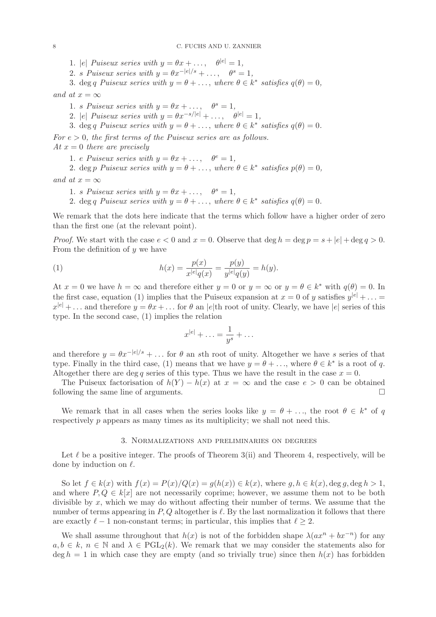1. |e| Puiseux series with  $y = \theta x + \dots$ ,  $\theta^{|e|} = 1$ ,

2. s Puiseux series with  $y = \theta x^{-|e|/s} + \ldots, \quad \theta^s = 1$ ,

3. deg q Puiseux series with  $y = \theta + \ldots$ , where  $\theta \in k^*$  satisfies  $q(\theta) = 0$ ,

and at  $x = \infty$ 

1. s Puiseux series with  $y = \theta x + \dots$ ,  $\theta^s = 1$ ,

2. |e| Puiseux series with  $y = \theta x^{-s/|e|} + \ldots$ ,  $\theta^{|e|} = 1$ ,

3. deg q Puiseux series with  $y = \theta + \ldots$ , where  $\theta \in k^*$  satisfies  $q(\theta) = 0$ .

For  $e > 0$ , the first terms of the Puiseux series are as follows.

At  $x = 0$  there are precisely

1. e Puiseux series with  $y = \theta x + \dots$ ,  $\theta^e = 1$ ,

2. deg p Puiseux series with  $y = \theta + \ldots$ , where  $\theta \in k^*$  satisfies  $p(\theta) = 0$ ,

and at  $x = \infty$ 

1. s Puiseux series with  $y = \theta x + \dots$ ,  $\theta^s = 1$ ,

2. deg q Puiseux series with  $y = \theta + \ldots$ , where  $\theta \in k^*$  satisfies  $q(\theta) = 0$ .

We remark that the dots here indicate that the terms which follow have a higher order of zero than the first one (at the relevant point).

*Proof.* We start with the case  $e < 0$  and  $x = 0$ . Observe that  $\deg h = \deg p = s + |e| + \deg q > 0$ . From the definition of  $y$  we have

(1) 
$$
h(x) = \frac{p(x)}{x^{|e|}q(x)} = \frac{p(y)}{y^{|e|}q(y)} = h(y).
$$

At  $x = 0$  we have  $h = \infty$  and therefore either  $y = 0$  or  $y = \infty$  or  $y = \theta \in k^*$  with  $q(\theta) = 0$ . In the first case, equation (1) implies that the Puiseux expansion at  $x = 0$  of y satisfies  $y^{|e|} + \ldots =$  $x^{|e|} + \ldots$  and therefore  $y = \theta x + \ldots$  for  $\theta$  an  $|e|$ th root of unity. Clearly, we have  $|e|$  series of this type. In the second case, (1) implies the relation

$$
x^{|e|} + \ldots = \frac{1}{y^s} + \ldots
$$

and therefore  $y = \theta x^{-|e|/s} + \ldots$  for  $\theta$  an sth root of unity. Altogether we have s series of that type. Finally in the third case, (1) means that we have  $y = \theta + \ldots$ , where  $\theta \in k^*$  is a root of q. Altogether there are deg q series of this type. Thus we have the result in the case  $x = 0$ .

The Puiseux factorisation of  $h(Y) - h(x)$  at  $x = \infty$  and the case  $e > 0$  can be obtained lowing the same line of arguments. following the same line of arguments.

We remark that in all cases when the series looks like  $y = \theta + \ldots$ , the root  $\theta \in k^*$  of q respectively p appears as many times as its multiplicity; we shall not need this.

### 3. Normalizations and preliminaries on degrees

Let  $\ell$  be a positive integer. The proofs of Theorem 3(ii) and Theorem 4, respectively, will be done by induction on  $\ell$ .

So let  $f \in k(x)$  with  $f(x) = P(x)/Q(x) = g(h(x)) \in k(x)$ , where  $g, h \in k(x)$ , deg  $g, \deg h > 1$ , and where  $P, Q \in k[x]$  are not necessarily coprime; however, we assume them not to be both divisible by  $x$ , which we may do without affecting their number of terms. We assume that the number of terms appearing in  $P, Q$  altogether is  $\ell$ . By the last normalization it follows that there are exactly  $\ell - 1$  non-constant terms; in particular, this implies that  $\ell \geq 2$ .

We shall assume throughout that  $h(x)$  is not of the forbidden shape  $\lambda(ax^n + bx^{-n})$  for any  $a, b \in k$ ,  $n \in \mathbb{N}$  and  $\lambda \in \text{PGL}_2(k)$ . We remark that we may consider the statements also for  $\deg h = 1$  in which case they are empty (and so trivially true) since then  $h(x)$  has forbidden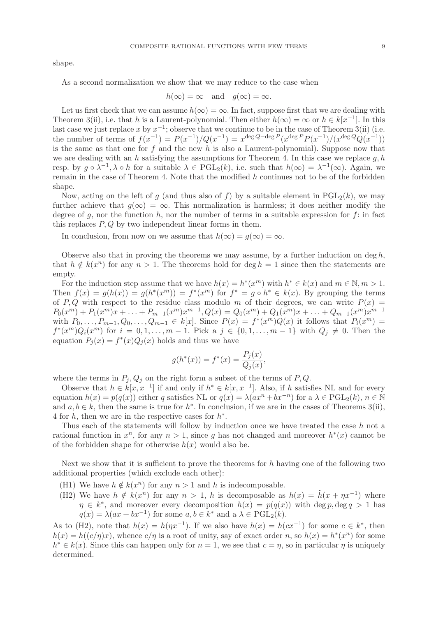shape.

As a second normalization we show that we may reduce to the case when

$$
h(\infty) = \infty
$$
 and  $g(\infty) = \infty$ .

Let us first check that we can assume  $h(\infty) = \infty$ . In fact, suppose first that we are dealing with Theorem 3(ii), i.e. that h is a Laurent-polynomial. Then either  $h(\infty) = \infty$  or  $h \in k[x^{-1}]$ . In this last case we just replace x by  $x^{-1}$ ; observe that we continue to be in the case of Theorem 3(ii) (i.e. the number of terms of  $f(x^{-1}) = P(x^{-1})/Q(x^{-1}) = x^{\deg Q - \deg P}(x^{\deg P}P(x^{-1})/(x^{\deg Q}(x^{-1}))$ is the same as that one for  $f$  and the new  $h$  is also a Laurent-polynomial). Suppose now that we are dealing with an h satisfying the assumptions for Theorem 4. In this case we replace  $q, h$ resp. by  $g \circ \lambda^{-1}$ ,  $\lambda \circ h$  for a suitable  $\lambda \in \text{PGL}_2(k)$ , i.e. such that  $h(\infty) = \lambda^{-1}(\infty)$ . Again, we remain in the case of Theorem 4. Note that the modified h continues not to be of the forbidden shape.

Now, acting on the left of g (and thus also of f) by a suitable element in  $PGL_2(k)$ , we may further achieve that  $q(\infty) = \infty$ . This normalization is harmless; it does neither modify the degree of g, nor the function h, nor the number of terms in a suitable expression for  $f$ : in fact this replaces  $P, Q$  by two independent linear forms in them.

In conclusion, from now on we assume that  $h(\infty) = g(\infty) = \infty$ .

Observe also that in proving the theorems we may assume, by a further induction on deg  $h$ , that  $h \notin k(x^n)$  for any  $n > 1$ . The theorems hold for deg  $h = 1$  since then the statements are empty.

For the induction step assume that we have  $h(x) = h^*(x^m)$  with  $h^* \in k(x)$  and  $m \in \mathbb{N}, m > 1$ . Then  $f(x) = g(h(x)) = g(h^*(x^m)) = f^*(x^m)$  for  $f^* = g \circ h^* \in k(x)$ . By grouping the terms of P, Q with respect to the residue class modulo m of their degrees, we can write  $P(x) =$  $P_0(x^m) + P_1(x^m)x + \ldots + P_{m-1}(x^m)x^{m-1}, Q(x) = Q_0(x^m) + Q_1(x^m)x + \ldots + Q_{m-1}(x^m)x^{m-1}$ with  $P_0, \ldots, P_{m-1}, Q_0, \ldots, Q_{m-1} \in k[x]$ . Since  $P(x) = f^*(x^m)Q(x)$  it follows that  $P_i(x^m) =$  $f^*(x^m)Q_i(x^m)$  for  $i = 0, 1, \ldots, m-1$ . Pick a  $j \in \{0, 1, \ldots, m-1\}$  with  $Q_j \neq 0$ . Then the equation  $P_j(x) = f^*(x)Q_j(x)$  holds and thus we have

$$
g(h^*(x)) = f^*(x) = \frac{P_j(x)}{Q_j(x)},
$$

where the terms in  $P_j, Q_j$  on the right form a subset of the terms of P, Q.

Observe that  $h \in k[x, x^{-1}]$  if and only if  $h^* \in k[x, x^{-1}]$ . Also, if h satisfies NL and for every equation  $h(x) = p(q(x))$  either q satisfies NL or  $q(x) = \lambda(ax^n + bx^{-n})$  for a  $\lambda \in \text{PGL}_2(k)$ ,  $n \in \mathbb{N}$ and  $a, b \in k$ , then the same is true for  $h^*$ . In conclusion, if we are in the cases of Theorems 3(ii), 4 for  $h$ , then we are in the respective cases for  $h^*$ .

Thus each of the statements will follow by induction once we have treated the case h not a rational function in  $x^n$ , for any  $n > 1$ , since g has not changed and moreover  $h^*(x)$  cannot be of the forbidden shape for otherwise  $h(x)$  would also be.

Next we show that it is sufficient to prove the theorems for  $h$  having one of the following two additional properties (which exclude each other):

- (H1) We have  $h \notin k(x^n)$  for any  $n > 1$  and h is indecomposable.
- (H2) We have  $h \notin k(x^n)$  for any  $n > 1$ , h is decomposable as  $h(x) = \tilde{h}(x + \eta x^{-1})$  where  $\eta \in k^*$ , and moreover every decomposition  $h(x) = p(q(x))$  with  $\deg p, \deg q > 1$  has  $q(x) = \lambda(ax + bx^{-1})$  for some  $a, b \in k^*$  and  $a \lambda \in \text{PGL}_2(k)$ .

As to (H2), note that  $h(x) = h(\eta x^{-1})$ . If we also have  $h(x) = h(cx^{-1})$  for some  $c \in k^*$ , then  $h(x) = h((c/\eta)x)$ , whence  $c/\eta$  is a root of unity, say of exact order n, so  $h(x) = h^*(x^n)$  for some  $h^* \in k(x)$ . Since this can happen only for  $n = 1$ , we see that  $c = \eta$ , so in particular  $\eta$  is uniquely determined.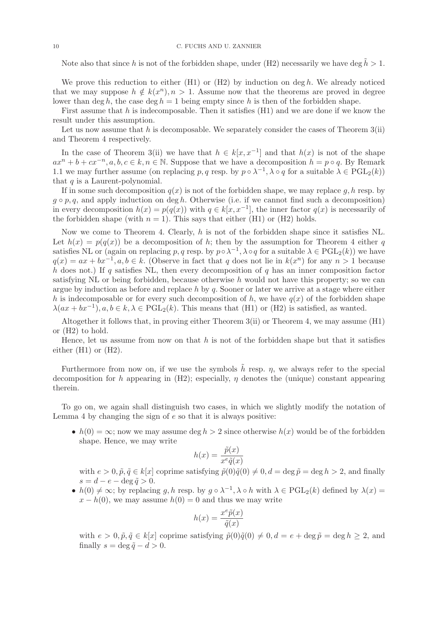Note also that since h is not of the forbidden shape, under (H2) necessarily we have deg  $\tilde{h} > 1$ .

We prove this reduction to either  $(H1)$  or  $(H2)$  by induction on deg h. We already noticed that we may suppose  $h \notin k(x^n), n > 1$ . Assume now that the theorems are proved in degree lower than deg h, the case deg  $h = 1$  being empty since h is then of the forbidden shape.

First assume that h is indecomposable. Then it satisfies  $(H1)$  and we are done if we know the result under this assumption.

Let us now assume that  $h$  is decomposable. We separately consider the cases of Theorem  $3(ii)$ and Theorem 4 respectively.

In the case of Theorem 3(ii) we have that  $h \in k[x, x^{-1}]$  and that  $h(x)$  is not of the shape  $ax^{n} + b + cx^{-n}, a, b, c \in k, n \in \mathbb{N}$ . Suppose that we have a decomposition  $h = p \circ q$ . By Remark 1.1 we may further assume (on replacing p, q resp. by  $p \circ \lambda^{-1}$ ,  $\lambda \circ q$  for a suitable  $\lambda \in \text{PGL}_2(k)$ ) that  $q$  is a Laurent-polynomial.

If in some such decomposition  $q(x)$  is not of the forbidden shape, we may replace q, h resp. by  $g \circ p, q$ , and apply induction on deg h. Otherwise (i.e. if we cannot find such a decomposition) in every decomposition  $h(x) = p(q(x))$  with  $q \in k[x, x^{-1}]$ , the inner factor  $q(x)$  is necessarily of the forbidden shape (with  $n = 1$ ). This says that either (H1) or (H2) holds.

Now we come to Theorem 4. Clearly, h is not of the forbidden shape since it satisfies NL. Let  $h(x) = p(q(x))$  be a decomposition of h; then by the assumption for Theorem 4 either q satisfies NL or (again on replacing p, q resp. by  $p \circ \lambda^{-1}$ ,  $\lambda \circ q$  for a suitable  $\lambda \in \mathrm{PGL}_2(k)$ ) we have  $q(x) = ax + bx^{-1}, a, b \in k.$  (Observe in fact that q does not lie in  $k(x^n)$  for any  $n > 1$  because h does not.) If q satisfies NL, then every decomposition of q has an inner composition factor satisfying NL or being forbidden, because otherwise  $h$  would not have this property; so we can argue by induction as before and replace  $h$  by  $q$ . Sooner or later we arrive at a stage where either h is indecomposable or for every such decomposition of h, we have  $q(x)$  of the forbidden shape  $\lambda(ax + bx^{-1}), a, b \in k, \lambda \in \mathrm{PGL}_2(k)$ . This means that (H1) or (H2) is satisfied, as wanted.

Altogether it follows that, in proving either Theorem 3(ii) or Theorem 4, we may assume (H1) or (H2) to hold.

Hence, let us assume from now on that  $h$  is not of the forbidden shape but that it satisfies either  $(H1)$  or  $(H2)$ .

Furthermore from now on, if we use the symbols  $\tilde{h}$  resp.  $\eta$ , we always refer to the special decomposition for h appearing in  $(H2)$ ; especially,  $\eta$  denotes the (unique) constant appearing therein.

To go on, we again shall distinguish two cases, in which we slightly modify the notation of Lemma 4 by changing the sign of  $e$  so that it is always positive:

•  $h(0) = \infty$ ; now we may assume deg  $h > 2$  since otherwise  $h(x)$  would be of the forbidden shape. Hence, we may write

$$
h(x) = \frac{\tilde{p}(x)}{x^e \tilde{q}(x)}
$$

with  $e > 0$ ,  $\tilde{p}, \tilde{q} \in k[x]$  coprime satisfying  $\tilde{p}(0)\tilde{q}(0) \neq 0$ ,  $d = \deg \tilde{p} = \deg h > 2$ , and finally  $s = d - e - \deg \tilde{q} > 0.$ 

•  $h(0) \neq \infty$ ; by replacing g, h resp. by  $g \circ \lambda^{-1}$ ,  $\lambda \circ h$  with  $\lambda \in \mathrm{PGL}_2(k)$  defined by  $\lambda(x) =$  $x - h(0)$ , we may assume  $h(0) = 0$  and thus we may write

$$
h(x) = \frac{x^e \tilde{p}(x)}{\tilde{q}(x)}
$$

with  $e > 0$ ,  $\tilde{p}, \tilde{q} \in k[x]$  coprime satisfying  $\tilde{p}(0)\tilde{q}(0) \neq 0, d = e + \deg \tilde{p} = \deg h \geq 2$ , and finally  $s = \deg \tilde{q} - d > 0$ .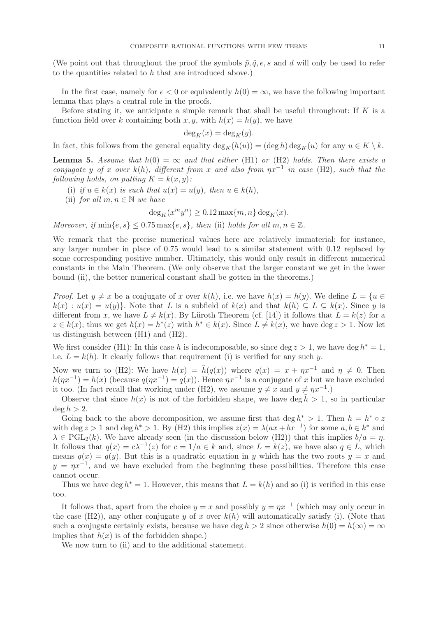(We point out that throughout the proof the symbols  $\tilde{p}, \tilde{q}, e, s$  and d will only be used to refer to the quantities related to  $h$  that are introduced above.)

In the first case, namely for  $e < 0$  or equivalently  $h(0) = \infty$ , we have the following important lemma that plays a central role in the proofs.

Before stating it, we anticipate a simple remark that shall be useful throughout: If  $K$  is a function field over k containing both x, y, with  $h(x) = h(y)$ , we have

$$
\deg_K(x) = \deg_K(y).
$$

In fact, this follows from the general equality  $\deg_K(h(u)) = (\deg h) \deg_K(u)$  for any  $u \in K \setminus k$ .

**Lemma 5.** Assume that  $h(0) = \infty$  and that either (H1) or (H2) holds. Then there exists a conjugate y of x over k(h), different from x and also from  $\eta x^{-1}$  in case (H2), such that the following holds, on putting  $K = k(x, y)$ :

- (i) if  $u \in k(x)$  is such that  $u(x) = u(y)$ , then  $u \in k(h)$ ,
- (ii) for all  $m, n \in \mathbb{N}$  we have

 $\deg_K(x^m y^n) \ge 0.12 \max\{m, n\} \deg_K(x)$ .

Moreover, if  $\min\{e, s\} \leq 0.75 \max\{e, s\}$ , then (ii) holds for all  $m, n \in \mathbb{Z}$ .

We remark that the precise numerical values here are relatively immaterial; for instance, any larger number in place of 0.75 would lead to a similar statement with 0.12 replaced by some corresponding positive number. Ultimately, this would only result in different numerical constants in the Main Theorem. (We only observe that the larger constant we get in the lower bound (ii), the better numerical constant shall be gotten in the theorems.)

*Proof.* Let  $y \neq x$  be a conjugate of x over  $k(h)$ , i.e. we have  $h(x) = h(y)$ . We define  $L = \{u \in$  $k(x) : u(x) = u(y)$ . Note that L is a subfield of  $k(x)$  and that  $k(h) \subset L \subset k(x)$ . Since y is different from x, we have  $L \neq k(x)$ . By Lüroth Theorem (cf. [14]) it follows that  $L = k(z)$  for a  $z \in k(x)$ ; thus we get  $h(x) = h^*(z)$  with  $h^* \in k(x)$ . Since  $L \neq k(x)$ , we have deg  $z > 1$ . Now let us distinguish between (H1) and (H2).

We first consider (H1): In this case h is indecomposable, so since deg  $z > 1$ , we have deg  $h^* = 1$ , i.e.  $L = k(h)$ . It clearly follows that requirement (i) is verified for any such y.

Now we turn to (H2): We have  $h(x) = \tilde{h}(q(x))$  where  $q(x) = x + \eta x^{-1}$  and  $\eta \neq 0$ . Then  $h(\eta x^{-1}) = h(x)$  (because  $q(\eta x^{-1}) = q(x)$ ). Hence  $\eta x^{-1}$  is a conjugate of x but we have excluded it too. (In fact recall that working under (H2), we assume  $y \neq x$  and  $y \neq \eta x^{-1}$ .)

Observe that since  $h(x)$  is not of the forbidden shape, we have deg  $\tilde{h} > 1$ , so in particular  $\deg h > 2$ .

Going back to the above decomposition, we assume first that deg  $h^* > 1$ . Then  $h = h^* \circ z$ with deg  $z > 1$  and deg  $h^* > 1$ . By (H2) this implies  $z(x) = \lambda(ax + bx^{-1})$  for some  $a, b \in k^*$  and  $\lambda \in \text{PGL}_2(k)$ . We have already seen (in the discussion below (H2)) that this implies  $b/a = \eta$ . It follows that  $q(x) = c\lambda^{-1}(z)$  for  $c = 1/a \in k$  and, since  $L = k(z)$ , we have also  $q \in L$ , which means  $q(x) = q(y)$ . But this is a quadratic equation in y which has the two roots  $y = x$  and  $y = \eta x^{-1}$ , and we have excluded from the beginning these possibilities. Therefore this case cannot occur.

Thus we have deg  $h^* = 1$ . However, this means that  $L = k(h)$  and so (i) is verified in this case too.

It follows that, apart from the choice  $y = x$  and possibly  $y = \eta x^{-1}$  (which may only occur in the case (H2)), any other conjugate y of x over  $k(h)$  will automatically satisfy (i). (Note that such a conjugate certainly exists, because we have deg  $h > 2$  since otherwise  $h(0) = h(\infty) = \infty$ implies that  $h(x)$  is of the forbidden shape.)

We now turn to (ii) and to the additional statement.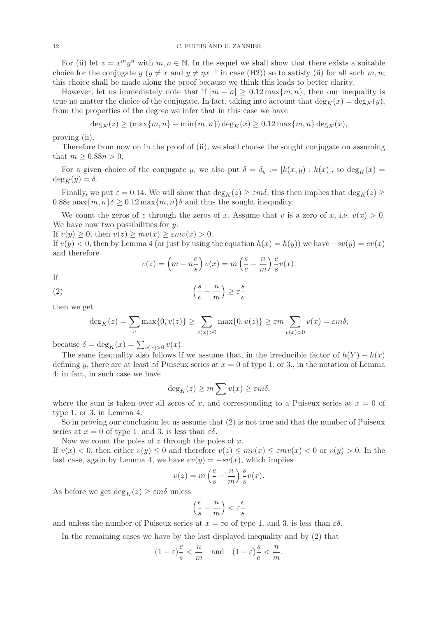For (ii) let  $z = x^m y^n$  with  $m, n \in \mathbb{N}$ . In the sequel we shall show that there exists a suitable choice for the conjugate  $y (y \neq x$  and  $y \neq \eta x^{-1}$  in case (H2)) so to satisfy (ii) for all such  $m, n$ ; this choice shall be made along the proof because we think this leads to better clarity.

However, let us immediately note that if  $|m - n| \geq 0.12 \max\{m, n\}$ , then our inequality is true no matter the choice of the conjugate. In fact, taking into account that  $\deg_K(x) = \deg_K(y)$ , from the properties of the degree we infer that in this case we have

$$
\deg_K(z) \ge (\max\{m, n\} - \min\{m, n\}) \deg_K(x) \ge 0.12 \max\{m, n\} \deg_K(x),
$$

proving (ii).

Therefore from now on in the proof of (ii), we shall choose the sought conjugate on assuming that  $m \geq 0.88n > 0$ .

For a given choice of the conjugate y, we also put  $\delta = \delta_y := [k(x, y) : k(x)]$ , so  $\deg_k(x) =$  $deg_K(y) = \delta.$ 

Finally, we put  $\varepsilon = 0.14$ . We will show that  $\deg_K(z) \geq \varepsilon m \delta$ ; this then implies that  $\deg_K(z) \geq$  $0.88\varepsilon$  max $\{m, n\}\delta \geq 0.12$  max $\{m, n\}\delta$  and thus the sought inequality.

We count the zeros of z through the zeros of x. Assume that v is a zero of x, i.e.  $v(x) > 0$ . We have now two possibilities for  $y$ :

If  $v(y) \geq 0$ , then  $v(z) \geq mv(x) \geq \varepsilon mv(x) > 0$ .

If  $v(y) < 0$ , then by Lemma 4 (or just by using the equation  $h(x) = h(y)$ ) we have  $-sv(y) = ev(x)$ and therefore

$$
v(z) = \left(m - n\frac{e}{s}\right)v(x) = m\left(\frac{s}{e} - \frac{n}{m}\right)\frac{e}{s}v(x).
$$

If

$$
\left(\frac{s}{e} - \frac{n}{m}\right) \ge \varepsilon \frac{s}{e}
$$

then we get

$$
\deg_K(z) = \sum_{v} \max\{0, v(z)\} \ge \sum_{v(x)>0} \max\{0, v(z)\} \ge \varepsilon m \sum_{v(x)>0} v(x) = \varepsilon m \delta,
$$

because  $\delta = \deg_K(x) = \sum_{v(x)>0} v(x)$ .

The same inequality also follows if we assume that, in the irreducible factor of  $h(Y) - h(x)$ defining y, there are at least  $\varepsilon\delta$  Puiseux series at  $x = 0$  of type 1. or 3., in the notation of Lemma 4; in fact, in such case we have

$$
\deg_K(z) \ge m \sum v(x) \ge \varepsilon m \delta,
$$

where the sum is taken over all zeros of x, and corresponding to a Puiseux series at  $x = 0$  of type 1. or 3. in Lemma 4.

So in proving our conclusion let us assume that (2) is not true and that the number of Puiseux series at  $x = 0$  of type 1. and 3. is less than  $\varepsilon \delta$ .

Now we count the poles of  $z$  through the poles of  $x$ .

If  $v(x) < 0$ , then either  $v(y) \leq 0$  and therefore  $v(z) \leq mv(x) \leq \varepsilon mv(x) < 0$  or  $v(y) > 0$ . In the last case, again by Lemma 4, we have  $ev(y) = -sv(x)$ , which implies

$$
v(z) = m\left(\frac{e}{s} - \frac{n}{m}\right)\frac{s}{s}v(x).
$$

As before we get  $\deg_K(z) \geq \varepsilon m \delta$  unless

$$
\left(\frac{e}{s}-\frac{n}{m}\right)<\varepsilon\frac{e}{s}
$$

and unless the number of Puiseux series at  $x = \infty$  of type 1. and 3. is less than  $\varepsilon \delta$ .

In the remaining cases we have by the last displayed inequality and by (2) that

$$
(1-\varepsilon)\frac{e}{s} < \frac{n}{m} \quad \text{and} \quad (1-\varepsilon)\frac{s}{e} < \frac{n}{m}.
$$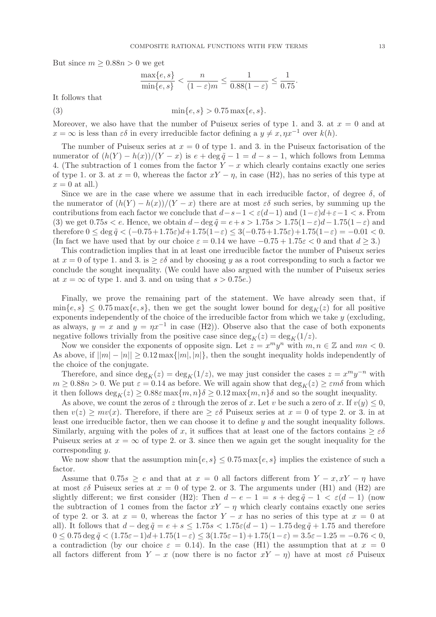But since  $m > 0.88n > 0$  we get

$$
\frac{\max\{e,s\}}{\min\{e,s\}} < \frac{n}{(1-\varepsilon)m} \le \frac{1}{0.88(1-\varepsilon)} \le \frac{1}{0.75}.
$$

It follows that

(3) 
$$
\min\{e, s\} > 0.75 \max\{e, s\}.
$$

Moreover, we also have that the number of Puiseux series of type 1. and 3. at  $x = 0$  and at  $x = \infty$  is less than  $\varepsilon \delta$  in every irreducible factor defining a  $y \neq x, \eta x^{-1}$  over  $k(h)$ .

The number of Puiseux series at  $x = 0$  of type 1. and 3. in the Puiseux factorisation of the numerator of  $(h(Y) - h(x))/(Y - x)$  is  $e + \deg \tilde{q} - 1 = d - s - 1$ , which follows from Lemma 4. (The subtraction of 1 comes from the factor  $Y - x$  which clearly contains exactly one series of type 1. or 3. at  $x = 0$ , whereas the factor  $xY - \eta$ , in case (H2), has no series of this type at  $x = 0$  at all.)

Since we are in the case where we assume that in each irreducible factor, of degree  $\delta$ , of the numerator of  $(h(Y) - h(x))/(Y - x)$  there are at most  $\varepsilon \delta$  such series, by summing up the contributions from each factor we conclude that  $d-s-1 < \varepsilon(d-1)$  and  $(1-\varepsilon)d+\varepsilon-1 < s$ . From (3) we get  $0.75s < e$ . Hence, we obtain  $d-\deg \tilde{q} = e+s > 1.75s > 1.75(1-\varepsilon)d-1.75(1-\varepsilon)$  and therefore  $0 \le \deg \tilde{q} < (-0.75+1.75\varepsilon)d+1.75(1-\varepsilon) \le 3(-0.75+1.75\varepsilon)+1.75(1-\varepsilon) = -0.01 < 0.$ (In fact we have used that by our choice  $\varepsilon = 0.14$  we have  $-0.75 + 1.75\varepsilon < 0$  and that  $d \ge 3$ .)

This contradiction implies that in at least one irreducible factor the number of Puiseux series at  $x = 0$  of type 1. and 3. is  $\geq \varepsilon \delta$  and by choosing y as a root corresponding to such a factor we conclude the sought inequality. (We could have also argued with the number of Puiseux series at  $x = \infty$  of type 1. and 3. and on using that  $s > 0.75e$ .

Finally, we prove the remaining part of the statement. We have already seen that, if  $\min\{e, s\} \leq 0.75 \max\{e, s\}$ , then we get the sought lower bound for  $\deg_K(z)$  for all positive exponents independently of the choice of the irreducible factor from which we take  $y$  (excluding, as always,  $y = x$  and  $y = \eta x^{-1}$  in case (H2)). Observe also that the case of both exponents negative follows trivially from the positive case since  $\deg_K(z) = \deg_K(1/z)$ .

Now we consider the exponents of opposite sign. Let  $z = x^m y^n$  with  $m, n \in \mathbb{Z}$  and  $mn < 0$ . As above, if  $||m| - |n|| \geq 0.12 \max\{|m|, |n|\}$ , then the sought inequality holds independently of the choice of the conjugate.

Therefore, and since  $\deg_K(z) = \deg_K(1/z)$ , we may just consider the cases  $z = x^m y^{-n}$  with  $m \geq 0.88n > 0$ . We put  $\varepsilon = 0.14$  as before. We will again show that  $\deg_K(z) \geq \varepsilon m \delta$  from which it then follows  $\deg_K(z) \geq 0.88\varepsilon \max\{m, n\}$   $\delta \geq 0.12 \max\{m, n\}$  and so the sought inequality.

As above, we count the zeros of z through the zeros of x. Let v be such a zero of x. If  $v(y) \leq 0$ , then  $v(z) \geq mv(x)$ . Therefore, if there are  $\geq \varepsilon \delta$  Puiseux series at  $x = 0$  of type 2. or 3. in at least one irreducible factor, then we can choose it to define y and the sought inequality follows. Similarly, arguing with the poles of x, it suffices that at least one of the factors contains  $\geq \varepsilon \delta$ Puiseux series at  $x = \infty$  of type 2. or 3. since then we again get the sought inequality for the corresponding  $y$ .

We now show that the assumption  $\min\{e, s\} \leq 0.75 \max\{e, s\}$  implies the existence of such a factor.

Assume that  $0.75s \ge e$  and that at  $x = 0$  all factors different from  $Y - x, xY - \eta$  have at most  $\varepsilon\delta$  Puiseux series at  $x = 0$  of type 2. or 3. The arguments under (H1) and (H2) are slightly different; we first consider (H2): Then  $d - e - 1 = s + \deg \tilde{q} - 1 < \varepsilon (d - 1)$  (now the subtraction of 1 comes from the factor  $xY - \eta$  which clearly contains exactly one series of type 2. or 3. at  $x = 0$ , whereas the factor  $Y - x$  has no series of this type at  $x = 0$  at all). It follows that  $d - \deg \tilde{q} = e + s \leq 1.75s < 1.75\varepsilon(d-1) - 1.75 \deg \tilde{q} + 1.75$  and therefore  $0 \le 0.75 \deg \tilde{q} \le (1.75\varepsilon - 1)d + 1.75(1-\varepsilon) \le 3(1.75\varepsilon - 1) + 1.75(1-\varepsilon) = 3.5\varepsilon - 1.25 = -0.76 < 0,$ a contradiction (by our choice  $\varepsilon = 0.14$ ). In the case (H1) the assumption that at  $x = 0$ all factors different from  $Y - x$  (now there is no factor  $xY - \eta$ ) have at most  $\varepsilon \delta$  Puiseux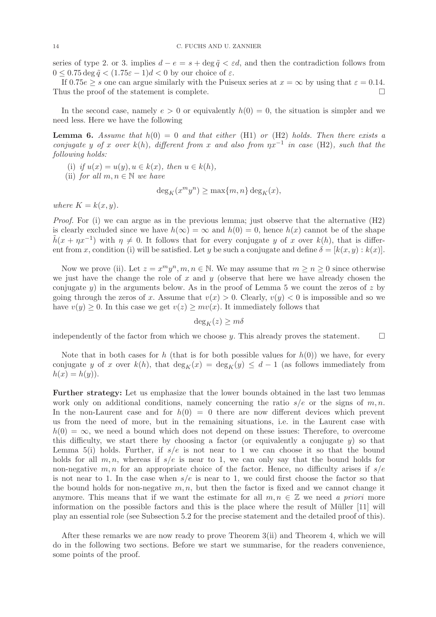series of type 2. or 3. implies  $d - e = s + \deg \tilde{q} < \varepsilon d$ , and then the contradiction follows from  $0 \leq 0.75 \deg \tilde{q} < (1.75\varepsilon - 1)d < 0$  by our choice of  $\varepsilon$ .

If  $0.75e \geq s$  one can argue similarly with the Puiseux series at  $x = \infty$  by using that  $\varepsilon = 0.14$ . Thus the proof of the statement is complete.

In the second case, namely  $e > 0$  or equivalently  $h(0) = 0$ , the situation is simpler and we need less. Here we have the following

**Lemma 6.** Assume that  $h(0) = 0$  and that either (H1) or (H2) holds. Then there exists a conjugate y of x over k(h), different from x and also from  $\eta x^{-1}$  in case (H2), such that the following holds:

(i) if  $u(x) = u(y), u \in k(x)$ , then  $u \in k(h)$ ,

(ii) for all 
$$
m, n \in \mathbb{N}
$$
 we have

$$
\deg_K(x^m y^n) \ge \max\{m, n\} \deg_K(x),
$$

where  $K = k(x, y)$ .

*Proof.* For (i) we can argue as in the previous lemma; just observe that the alternative  $(H2)$ is clearly excluded since we have  $h(\infty) = \infty$  and  $h(0) = 0$ , hence  $h(x)$  cannot be of the shape  $\tilde{h}(x + \eta x^{-1})$  with  $\eta \neq 0$ . It follows that for every conjugate y of x over k(h), that is different from x, condition (i) will be satisfied. Let y be such a conjugate and define  $\delta = [k(x, y) : k(x)]$ .

Now we prove (ii). Let  $z = x^m y^n, m, n \in \mathbb{N}$ . We may assume that  $m \ge n \ge 0$  since otherwise we just have the change the role of x and  $y$  (observe that here we have already chosen the conjugate y) in the arguments below. As in the proof of Lemma 5 we count the zeros of z by going through the zeros of x. Assume that  $v(x) > 0$ . Clearly,  $v(y) < 0$  is impossible and so we have  $v(y) \geq 0$ . In this case we get  $v(z) \geq mv(x)$ . It immediately follows that

 $deg_K(z) \geq m\delta$ 

independently of the factor from which we choose y. This already proves the statement.  $\square$ 

Note that in both cases for h (that is for both possible values for  $h(0)$ ) we have, for every conjugate y of x over  $k(h)$ , that  $\deg_K(x) = \deg_K(y) \leq d-1$  (as follows immediately from  $h(x) = h(y)$ .

Further strategy: Let us emphasize that the lower bounds obtained in the last two lemmas work only on additional conditions, namely concerning the ratio  $s/e$  or the signs of m, n. In the non-Laurent case and for  $h(0) = 0$  there are now different devices which prevent us from the need of more, but in the remaining situations, i.e. in the Laurent case with  $h(0) = \infty$ , we need a bound which does not depend on these issues: Therefore, to overcome this difficulty, we start there by choosing a factor (or equivalently a conjugate  $y$ ) so that Lemma 5(i) holds. Further, if  $s/e$  is not near to 1 we can choose it so that the bound holds for all  $m, n$ , whereas if  $s/e$  is near to 1, we can only say that the bound holds for non-negative  $m, n$  for an appropriate choice of the factor. Hence, no difficulty arises if  $s/e$ is not near to 1. In the case when  $s/e$  is near to 1, we could first choose the factor so that the bound holds for non-negative  $m, n$ , but then the factor is fixed and we cannot change it anymore. This means that if we want the estimate for all  $m, n \in \mathbb{Z}$  we need a priori more information on the possible factors and this is the place where the result of Müller  $[11]$  will play an essential role (see Subsection 5.2 for the precise statement and the detailed proof of this).

After these remarks we are now ready to prove Theorem 3(ii) and Theorem 4, which we will do in the following two sections. Before we start we summarise, for the readers convenience, some points of the proof.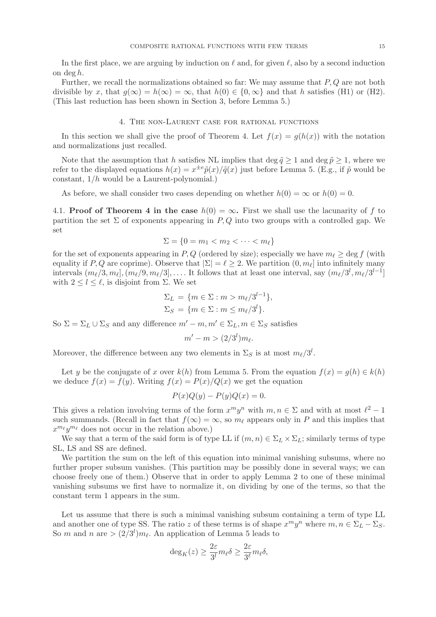In the first place, we are arguing by induction on  $\ell$  and, for given  $\ell$ , also by a second induction on deg h.

Further, we recall the normalizations obtained so far: We may assume that P, Q are not both divisible by x, that  $g(\infty) = h(\infty) = \infty$ , that  $h(0) \in \{0, \infty\}$  and that h satisfies (H1) or (H2). (This last reduction has been shown in Section 3, before Lemma 5.)

#### 4. The non-Laurent case for rational functions

In this section we shall give the proof of Theorem 4. Let  $f(x) = q(h(x))$  with the notation and normalizations just recalled.

Note that the assumption that h satisfies NL implies that deg  $\tilde{q} \geq 1$  and deg  $\tilde{p} \geq 1$ , where we refer to the displayed equations  $h(x) = x^{\pm e} \tilde{p}(x) / \tilde{q}(x)$  just before Lemma 5. (E.g., if  $\tilde{p}$  would be constant, 1/h would be a Laurent-polynomial.)

As before, we shall consider two cases depending on whether  $h(0) = \infty$  or  $h(0) = 0$ .

4.1. **Proof of Theorem 4 in the case**  $h(0) = \infty$ . First we shall use the lacunarity of f to partition the set  $\Sigma$  of exponents appearing in  $P, Q$  into two groups with a controlled gap. We set

$$
\Sigma = \{0 = m_1 < m_2 < \dots < m_\ell\}
$$

for the set of exponents appearing in P, Q (ordered by size); especially we have  $m_\ell > \text{deg } f$  (with equality if P, Q are coprime). Observe that  $|\Sigma| = \ell \geq 2$ . We partition  $(0, m_{\ell}]$  into infinitely many intervals  $(m_{\ell}/3, m_{\ell}], (m_{\ell}/9, m_{\ell}/3], \ldots$ . It follows that at least one interval, say  $(m_{\ell}/3^l, m_{\ell}/3^{l-1}]$ with  $2 \leq l \leq \ell$ , is disjoint from  $\Sigma$ . We set

$$
\Sigma_L = \{ m \in \Sigma : m > m_{\ell}/3^{l-1} \},
$$
  

$$
\Sigma_S = \{ m \in \Sigma : m \le m_{\ell}/3^l \}.
$$

So  $\Sigma = \Sigma_L \cup \Sigma_S$  and any difference  $m' - m, m' \in \Sigma_L, m \in \Sigma_S$  satisfies

$$
m'-m>(2/3^l)m_{\ell}.
$$

Moreover, the difference between any two elements in  $\Sigma_S$  is at most  $m_{\ell}/3^l$ .

Let y be the conjugate of x over  $k(h)$  from Lemma 5. From the equation  $f(x) = g(h) \in k(h)$ we deduce  $f(x) = f(y)$ . Writing  $f(x) = P(x)/Q(x)$  we get the equation

$$
P(x)Q(y) - P(y)Q(x) = 0.
$$

This gives a relation involving terms of the form  $x^m y^n$  with  $m, n \in \Sigma$  and with at most  $\ell^2 - 1$ such summands. (Recall in fact that  $f(\infty) = \infty$ , so  $m_\ell$  appears only in P and this implies that  $x^{m_\ell}y^{m_\ell}$  does not occur in the relation above.)

We say that a term of the said form is of type LL if  $(m, n) \in \Sigma_L \times \Sigma_L$ ; similarly terms of type SL, LS and SS are defined.

We partition the sum on the left of this equation into minimal vanishing subsums, where no further proper subsum vanishes. (This partition may be possibly done in several ways; we can choose freely one of them.) Observe that in order to apply Lemma 2 to one of these minimal vanishing subsums we first have to normalize it, on dividing by one of the terms, so that the constant term 1 appears in the sum.

Let us assume that there is such a minimal vanishing subsum containing a term of type LL and another one of type SS. The ratio z of these terms is of shape  $x^m y^n$  where  $m, n \in \Sigma_L - \Sigma_S$ . So m and n are  $> (2/3<sup>l</sup>)m<sub>l</sub>$ . An application of Lemma 5 leads to

$$
\deg_K(z) \ge \frac{2\varepsilon}{3^l} m_\ell \delta \ge \frac{2\varepsilon}{3^\ell} m_\ell \delta,
$$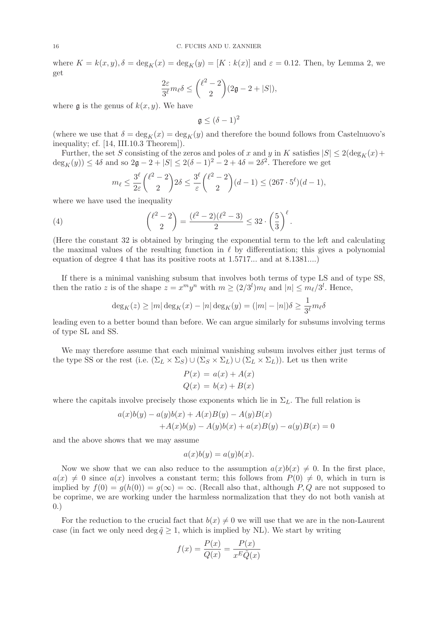where  $K = k(x, y), \delta = \deg_K(x) = \deg_K(y) = [K : k(x)]$  and  $\varepsilon = 0.12$ . Then, by Lemma 2, we get

$$
\frac{2\varepsilon}{3^{\ell}}m_{\ell}\delta \leq {\ell^2-2 \choose 2}(2\mathfrak{g}-2+|S|),
$$

where  $\mathfrak g$  is the genus of  $k(x, y)$ . We have

$$
\mathfrak{g}\leq (\delta-1)^2
$$

(where we use that  $\delta = \deg_K(x) = \deg_K(y)$  and therefore the bound follows from Castelnuovo's inequality; cf. [14, III.10.3 Theorem]).

Further, the set S consisting of the zeros and poles of x and y in K satisfies  $|S| \leq 2(\deg_K(x) +$  $deg_K(y)$   $\leq 4\delta$  and so  $2\mathfrak{g} - 2 + |S| \leq 2(\delta - 1)^2 - 2 + 4\delta = 2\delta^2$ . Therefore we get

$$
m_{\ell} \le \frac{3^{\ell}}{2\varepsilon} {\ell^2 - 2 \choose 2} 2\delta \le \frac{3^{\ell}}{\varepsilon} {\ell^2 - 2 \choose 2} (d-1) \le (267 \cdot 5^{\ell})(d-1),
$$

where we have used the inequality

(4) 
$$
{\ell^2 - 2 \choose 2} = {\ell^2 - 2(\ell^2 - 3) \over 2} \le 32 \cdot {\binom{5}{3}}^{\ell}.
$$

(Here the constant 32 is obtained by bringing the exponential term to the left and calculating the maximal values of the resulting function in  $\ell$  by differentiation; this gives a polynomial equation of degree 4 that has its positive roots at 1.5717... and at 8.1381....)

If there is a minimal vanishing subsum that involves both terms of type LS and of type SS, then the ratio z is of the shape  $z = x^m y^n$  with  $m \ge (2/3^l) m_{\ell}$  and  $|n| \le m_{\ell}/3^l$ . Hence,

$$
\deg_K(z) \ge |m| \deg_K(x) - |n| \deg_K(y) = (|m| - |n|) \delta \ge \frac{1}{3^{\ell}} m_{\ell} \delta
$$

leading even to a better bound than before. We can argue similarly for subsums involving terms of type SL and SS.

We may therefore assume that each minimal vanishing subsum involves either just terms of the type SS or the rest (i.e.  $(\Sigma_L \times \Sigma_S) \cup (\Sigma_S \times \Sigma_L) \cup (\Sigma_L \times \Sigma_L)$ ). Let us then write

$$
P(x) = a(x) + A(x)
$$
  

$$
Q(x) = b(x) + B(x)
$$

where the capitals involve precisely those exponents which lie in  $\Sigma_L$ . The full relation is

$$
a(x)b(y) - a(y)b(x) + A(x)B(y) - A(y)B(x)
$$
  
+ $A(x)b(y) - A(y)b(x) + a(x)B(y) - a(y)B(x) = 0$ 

and the above shows that we may assume

$$
a(x)b(y) = a(y)b(x).
$$

Now we show that we can also reduce to the assumption  $a(x)b(x) \neq 0$ . In the first place,  $a(x) \neq 0$  since  $a(x)$  involves a constant term; this follows from  $P(0) \neq 0$ , which in turn is implied by  $f(0) = g(h(0)) = g(\infty) = \infty$ . (Recall also that, although P, Q are not supposed to be coprime, we are working under the harmless normalization that they do not both vanish at 0.)

For the reduction to the crucial fact that  $b(x) \neq 0$  we will use that we are in the non-Laurent case (in fact we only need deg  $\tilde{q} \geq 1$ , which is implied by NL). We start by writing

$$
f(x) = \frac{P(x)}{Q(x)} = \frac{P(x)}{x^E \tilde{Q}(x)}
$$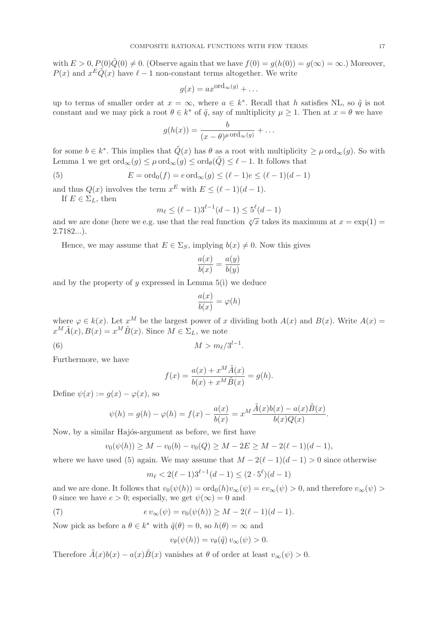with  $E > 0$ ,  $P(0)Q(0) \neq 0$ . (Observe again that we have  $f(0) = g(h(0)) = g(\infty) = \infty$ .) Moreover,  $P(x)$  and  $x^E \tilde{Q}(x)$  have  $\ell - 1$  non-constant terms altogether. We write

$$
g(x) = ax^{\operatorname{ord}_{\infty}(g)} + \dots
$$

up to terms of smaller order at  $x = \infty$ , where  $a \in k^*$ . Recall that h satisfies NL, so  $\tilde{q}$  is not constant and we may pick a root  $\theta \in k^*$  of  $\tilde{q}$ , say of multiplicity  $\mu \geq 1$ . Then at  $x = \theta$  we have

$$
g(h(x)) = \frac{b}{(x-\theta)^{\mu} \text{ord}_{\infty}(g)} + \dots
$$

for some  $b \in k^*$ . This implies that  $\tilde{Q}(x)$  has  $\theta$  as a root with multiplicity  $\geq \mu \text{ ord}_{\infty}(g)$ . So with Lemma 1 we get  $\text{ord}_{\infty}(g) \leq \mu \text{ ord}_{\infty}(g) \leq \text{ord}_{\theta}(\tilde{Q}) \leq \ell - 1$ . It follows that

(5) 
$$
E = \text{ord}_0(f) = e \text{ ord}_{\infty}(g) \le (l-1)e \le (l-1)(d-1)
$$

and thus  $Q(x)$  involves the term  $x^E$  with  $E \leq (\ell-1)(d-1)$ .

If  $E \in \Sigma_L$ , then

$$
m_{\ell} \le (\ell - 1)3^{\ell - 1}(d - 1) \le 5^{\ell}(d - 1)
$$

and we are done (here we e.g. use that the real function  $\sqrt[x]{x}$  takes its maximum at  $x = \exp(1) =$  $2.7182...$ ).

Hence, we may assume that  $E \in \Sigma_S$ , implying  $b(x) \neq 0$ . Now this gives

$$
\frac{a(x)}{b(x)} = \frac{a(y)}{b(y)}
$$

and by the property of  $y$  expressed in Lemma  $5(i)$  we deduce

$$
\frac{a(x)}{b(x)} = \varphi(h)
$$

where  $\varphi \in k(x)$ . Let  $x^M$  be the largest power of x dividing both  $A(x)$  and  $B(x)$ . Write  $A(x) =$  $x^M \tilde{A}(x), B(x) = x^M \tilde{B}(x)$ . Since  $M \in \Sigma_L$ , we note

(6)  $M > m_{\ell}/3^{l-1}$ .

Furthermore, we have

$$
f(x) = \frac{a(x) + x^M \tilde{A}(x)}{b(x) + x^M \tilde{B}(x)} = g(h).
$$

Define  $\psi(x) := q(x) - \varphi(x)$ , so

$$
\psi(h) = g(h) - \varphi(h) = f(x) - \frac{a(x)}{b(x)} = x^M \frac{\tilde{A}(x)b(x) - a(x)\tilde{B}(x)}{b(x)Q(x)}.
$$

Now, by a similar Hajós-argument as before, we first have

$$
v_0(\psi(h)) \ge M - v_0(b) - v_0(Q) \ge M - 2E \ge M - 2(\ell - 1)(d - 1),
$$

where we have used (5) again. We may assume that  $M - 2(\ell - 1)(d - 1) > 0$  since otherwise

$$
m_{\ell} < 2(\ell - 1)3^{\ell - 1}(d - 1) \le (2 \cdot 5^{\ell})(d - 1)
$$

and we are done. It follows that  $v_0(\psi(h)) = \text{ord}_0(h)v_\infty(\psi) = ev_\infty(\psi) > 0$ , and therefore  $v_\infty(\psi) >$ 0 since we have  $e > 0$ ; especially, we get  $\psi(\infty) = 0$  and

(7) 
$$
e v_{\infty}(\psi) = v_0(\psi(h)) \geq M - 2(\ell - 1)(d - 1).
$$

Now pick as before a  $\theta \in k^*$  with  $\tilde{q}(\theta) = 0$ , so  $h(\theta) = \infty$  and

$$
v_{\theta}(\psi(h)) = v_{\theta}(\tilde{q}) v_{\infty}(\psi) > 0.
$$

Therefore  $\tilde{A}(x)b(x) - a(x)\tilde{B}(x)$  vanishes at  $\theta$  of order at least  $v_{\infty}(\psi) > 0$ .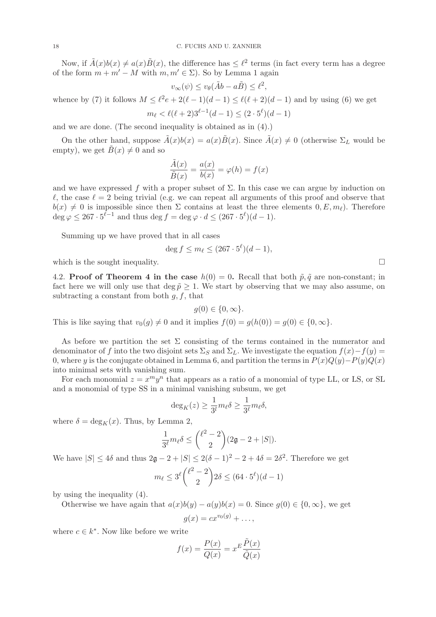Now, if  $\tilde{A}(x)b(x) \neq a(x)\tilde{B}(x)$ , the difference has  $\leq \ell^2$  terms (in fact every term has a degree of the form  $m + m' - M$  with  $m, m' \in \Sigma$ ). So by Lemma 1 again

$$
v_{\infty}(\psi) \le v_{\theta}(\tilde{A}b - a\tilde{B}) \le \ell^2,
$$

whence by (7) it follows  $M \leq \ell^2 e + 2(\ell - 1)(d - 1) \leq \ell(\ell + 2)(d - 1)$  and by using (6) we get  $m_{\ell} < \ell(\ell+2)3^{\ell-1}(d-1) \leq (2 \cdot 5^{\ell})(d-1)$ 

and we are done. (The second inequality is obtained as in (4).)

On the other hand, suppose  $\tilde{A}(x)b(x) = a(x)\tilde{B}(x)$ . Since  $\tilde{A}(x) \neq 0$  (otherwise  $\Sigma_L$  would be empty), we get  $\tilde{B}(x) \neq 0$  and so

$$
\frac{\tilde{A}(x)}{\tilde{B}(x)} = \frac{a(x)}{b(x)} = \varphi(h) = f(x)
$$

and we have expressed f with a proper subset of  $\Sigma$ . In this case we can argue by induction on  $\ell$ , the case  $\ell = 2$  being trivial (e.g. we can repeat all arguments of this proof and observe that  $b(x) \neq 0$  is impossible since then  $\Sigma$  contains at least the three elements  $0, E, m_\ell$ . Therefore  $\deg \varphi \leq 267 \cdot 5^{\ell-1}$  and thus  $\deg f = \deg \varphi \cdot d \leq (267 \cdot 5^{\ell})(d-1)$ .

Summing up we have proved that in all cases

$$
\deg f \le m_{\ell} \le (267 \cdot 5^{\ell})(d-1),
$$

which is the sought inequality.  $\Box$ 

4.2. Proof of Theorem 4 in the case  $h(0) = 0$ . Recall that both  $\tilde{p}, \tilde{q}$  are non-constant; in fact here we will only use that deg  $\tilde{p} \ge 1$ . We start by observing that we may also assume, on subtracting a constant from both  $g, f$ , that

$$
g(0) \in \{0, \infty\}.
$$

This is like saying that  $v_0(g) \neq 0$  and it implies  $f(0) = g(h(0)) = g(0) \in \{0, \infty\}.$ 

As before we partition the set  $\Sigma$  consisting of the terms contained in the numerator and denominator of f into the two disjoint sets  $\Sigma_S$  and  $\Sigma_L$ . We investigate the equation  $f(x)-f(y) =$ 0, where y is the conjugate obtained in Lemma 6, and partition the terms in  $P(x)Q(y) - P(y)Q(x)$ into minimal sets with vanishing sum.

For each monomial  $z = x^m y^n$  that appears as a ratio of a monomial of type LL, or LS, or SL and a monomial of type SS in a minimal vanishing subsum, we get

$$
\deg_K(z) \ge \frac{1}{3^l} m_\ell \delta \ge \frac{1}{3^\ell} m_\ell \delta,
$$

where  $\delta = \deg_K(x)$ . Thus, by Lemma 2,

$$
\frac{1}{3^{\ell}}m_{\ell}\delta \leq {\ell^2-2 \choose 2}(2\mathfrak{g}-2+|S|).
$$

We have  $|S| \le 4\delta$  and thus  $2\mathfrak{g} - 2 + |S| \le 2(\delta - 1)^2 - 2 + 4\delta = 2\delta^2$ . Therefore we get

$$
m_{\ell} \le 3^{\ell} {\ell^2 - 2 \choose 2} 2\delta \le (64 \cdot 5^{\ell})(d-1)
$$

by using the inequality (4).

Otherwise we have again that  $a(x)b(y) - a(y)b(x) = 0$ . Since  $g(0) \in \{0, \infty\}$ , we get

$$
g(x) = cx^{v_0(g)} + \dots,
$$

where  $c \in k^*$ . Now like before we write

$$
f(x) = \frac{P(x)}{Q(x)} = x^E \frac{\tilde{P}(x)}{\tilde{Q}(x)}
$$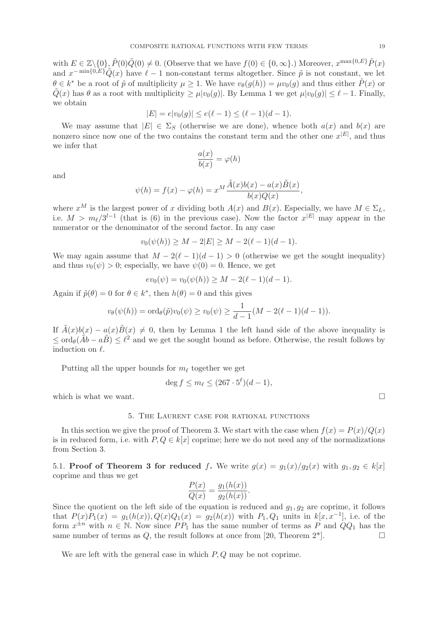with  $E \in \mathbb{Z} \setminus \{0\}$ ,  $\tilde{P}(0)\tilde{Q}(0) \neq 0$ . (Observe that we have  $f(0) \in \{0, \infty\}$ .) Moreover,  $x^{\max\{0, E\}} \tilde{P}(x)$ and  $x^{-\min\{0,E\}}\tilde{Q}(x)$  have  $\ell-1$  non-constant terms altogether. Since  $\tilde{p}$  is not constant, we let  $\theta \in k^*$  be a root of  $\tilde{p}$  of multiplicity  $\mu \geq 1$ . We have  $v_{\theta}(g(h)) = \mu v_0(g)$  and thus either  $\tilde{P}(x)$  or  $\tilde{Q}(x)$  has  $\theta$  as a root with multiplicity  $\geq \mu |v_0(q)|$ . By Lemma 1 we get  $\mu |v_0(q)| \leq \ell - 1$ . Finally, we obtain

$$
|E| = e|v_0(g)| \le e(\ell - 1) \le (\ell - 1)(d - 1).
$$

We may assume that  $|E| \in \Sigma_S$  (otherwise we are done), whence both  $a(x)$  and  $b(x)$  are nonzero since now one of the two contains the constant term and the other one  $x^{|E|}$ , and thus we infer that  $a(x)$ 

$$
\frac{a(x)}{b(x)} = \varphi(h)
$$

and

$$
\psi(h) = f(x) - \varphi(h) = x^M \frac{\tilde{A}(x)b(x) - a(x)\tilde{B}(x)}{b(x)Q(x)}
$$

,

where  $x^M$  is the largest power of x dividing both  $A(x)$  and  $B(x)$ . Especially, we have  $M \in \Sigma_L$ , i.e.  $M > m_{\ell}/3^{l-1}$  (that is (6) in the previous case). Now the factor  $x^{|E|}$  may appear in the numerator or the denominator of the second factor. In any case

$$
v_0(\psi(h)) \ge M - 2|E| \ge M - 2(\ell - 1)(d - 1).
$$

We may again assume that  $M - 2(\ell - 1)(d - 1) > 0$  (otherwise we get the sought inequality) and thus  $v_0(\psi) > 0$ ; especially, we have  $\psi(0) = 0$ . Hence, we get

$$
ev_0(\psi) = v_0(\psi(h)) \geq M - 2(\ell - 1)(d - 1).
$$

Again if  $\tilde{p}(\theta) = 0$  for  $\theta \in k^*$ , then  $h(\theta) = 0$  and this gives

$$
v_{\theta}(\psi(h)) = \text{ord}_{\theta}(\tilde{p})v_0(\psi) \ge v_0(\psi) \ge \frac{1}{d-1}(M-2(\ell-1)(d-1)).
$$

If  $\tilde{A}(x)b(x) - a(x)\tilde{B}(x) \neq 0$ , then by Lemma 1 the left hand side of the above inequality is  $\leq \text{ord}_{\theta}(\tilde{A}b - a\tilde{B}) \leq \ell^2$  and we get the sought bound as before. Otherwise, the result follows by induction on  $\ell$ .

Putting all the upper bounds for  $m_{\ell}$  together we get

$$
\deg f \le m_{\ell} \le (267 \cdot 5^{\ell})(d-1),
$$

which is what we want.  $\Box$ 

### 5. The Laurent case for rational functions

In this section we give the proof of Theorem 3. We start with the case when  $f(x) = P(x)/Q(x)$ is in reduced form, i.e. with  $P, Q \in k[x]$  coprime; here we do not need any of the normalizations from Section 3.

5.1. Proof of Theorem 3 for reduced f. We write  $g(x) = g_1(x)/g_2(x)$  with  $g_1, g_2 \in k[x]$ coprime and thus we get

$$
\frac{P(x)}{Q(x)} = \frac{g_1(h(x))}{g_2(h(x))}.
$$

Since the quotient on the left side of the equation is reduced and  $g_1, g_2$  are coprime, it follows that  $P(x)P_1(x) = g_1(h(x)), Q(x)Q_1(x) = g_2(h(x))$  with  $P_1, Q_1$  units in  $k[x, x^{-1}]$ , i.e. of the form  $x^{\pm n}$  with  $n \in \mathbb{N}$ . Now since  $PP_1$  has the same number of terms as P and  $QQ_1$  has the same number of terms as Q, the result follows at once from [20, Theorem  $2^*$ ].

We are left with the general case in which  $P, Q$  may be not coprime.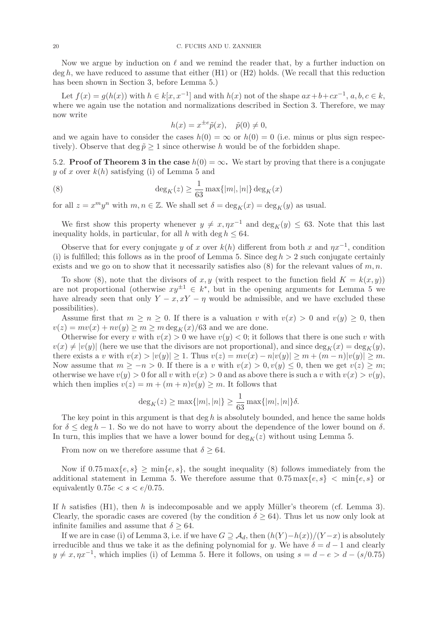Now we argue by induction on  $\ell$  and we remind the reader that, by a further induction on  $\deg h$ , we have reduced to assume that either (H1) or (H2) holds. (We recall that this reduction has been shown in Section 3, before Lemma 5.)

Let  $f(x) = g(h(x))$  with  $h \in k[x, x^{-1}]$  and with  $h(x)$  not of the shape  $ax + b + cx^{-1}$ ,  $a, b, c \in k$ , where we again use the notation and normalizations described in Section 3. Therefore, we may now write

$$
h(x) = x^{\pm e} \tilde{p}(x), \quad \tilde{p}(0) \neq 0,
$$

and we again have to consider the cases  $h(0) = \infty$  or  $h(0) = 0$  (i.e. minus or plus sign respectively). Observe that deg  $\tilde{p} \ge 1$  since otherwise h would be of the forbidden shape.

5.2. **Proof of Theorem 3 in the case**  $h(0) = \infty$ . We start by proving that there is a conjugate y of x over  $k(h)$  satisfying (i) of Lemma 5 and

(8) 
$$
\deg_K(z) \ge \frac{1}{63} \max\{|m|, |n|\} \deg_K(x)
$$

for all  $z = x^m y^n$  with  $m, n \in \mathbb{Z}$ . We shall set  $\delta = \deg_K(x) = \deg_K(y)$  as usual.

We first show this property whenever  $y \neq x, \eta x^{-1}$  and  $\deg_K(y) \leq 63$ . Note that this last inequality holds, in particular, for all h with deg  $h \leq 64$ .

Observe that for every conjugate y of x over  $k(h)$  different from both x and  $\eta x^{-1}$ , condition (i) is fulfilled; this follows as in the proof of Lemma 5. Since  $\deg h > 2$  such conjugate certainly exists and we go on to show that it necessarily satisfies also  $(8)$  for the relevant values of m, n.

To show (8), note that the divisors of x, y (with respect to the function field  $K = k(x, y)$ ) are not proportional (otherwise  $xy^{\pm 1} \in k^*$ , but in the opening arguments for Lemma 5 we have already seen that only  $Y - x, xY - \eta$  would be admissible, and we have excluded these possibilities).

Assume first that  $m \geq n \geq 0$ . If there is a valuation v with  $v(x) > 0$  and  $v(y) \geq 0$ , then  $v(z) = mv(x) + nv(y) \ge m \ge m \deg_K(x) / 63$  and we are done.

Otherwise for every v with  $v(x) > 0$  we have  $v(y) < 0$ ; it follows that there is one such v with  $v(x) \neq |v(y)|$  (here we use that the divisors are not proportional), and since  $\deg_K(x) = \deg_K(y)$ , there exists a v with  $v(x) > |v(y)| \ge 1$ . Thus  $v(z) = mv(x) - n|v(y)| \ge m + (m-n)|v(y)| \ge m$ . Now assume that  $m \geq -n > 0$ . If there is a v with  $v(x) > 0, v(y) \leq 0$ , then we get  $v(z) \geq m$ ; otherwise we have  $v(y) > 0$  for all v with  $v(x) > 0$  and as above there is such a v with  $v(x) > v(y)$ , which then implies  $v(z) = m + (m+n)v(y) \geq m$ . It follows that

$$
\deg_K(z) \ge \max\{|m|, |n|\} \ge \frac{1}{63} \max\{|m|, |n|\} \delta.
$$

The key point in this argument is that deg  $h$  is absolutely bounded, and hence the same holds for  $\delta \leq \deg h - 1$ . So we do not have to worry about the dependence of the lower bound on  $\delta$ . In turn, this implies that we have a lower bound for  $\deg_K(z)$  without using Lemma 5.

From now on we therefore assume that  $\delta \geq 64$ .

Now if  $0.75 \max\{e, s\} \ge \min\{e, s\}$ , the sought inequality (8) follows immediately from the additional statement in Lemma 5. We therefore assume that  $0.75 \max\{e, s\} < \min\{e, s\}$  or equivalently  $0.75e < s < e/0.75$ .

If h satisfies  $(H1)$ , then h is indecomposable and we apply Müller's theorem (cf. Lemma 3). Clearly, the sporadic cases are covered (by the condition  $\delta \geq 64$ ). Thus let us now only look at infinite families and assume that  $\delta \geq 64$ .

If we are in case (i) of Lemma 3, i.e. if we have  $G \supseteq A_d$ , then  $(h(Y)-h(x))/(Y-x)$  is absolutely irreducible and thus we take it as the defining polynomial for y. We have  $\delta = d - 1$  and clearly  $y \neq x, \eta x^{-1}$ , which implies (i) of Lemma 5. Here it follows, on using  $s = d - e > d - (s/0.75)$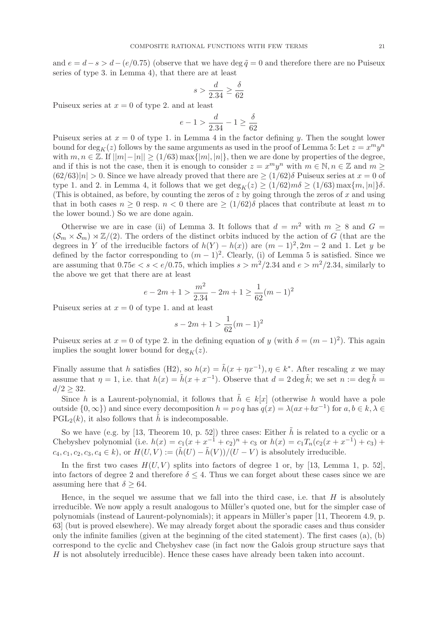and  $e = d - s > d - (e/0.75)$  (observe that we have deg  $\tilde{q} = 0$  and therefore there are no Puiseux series of type 3. in Lemma 4), that there are at least

$$
s > \frac{d}{2.34} \ge \frac{\delta}{62}
$$

Puiseux series at  $x = 0$  of type 2. and at least

$$
e - 1 > \frac{d}{2.34} - 1 \ge \frac{\delta}{62}
$$

Puiseux series at  $x = 0$  of type 1. in Lemma 4 in the factor defining y. Then the sought lower bound for  $\deg_K(z)$  follows by the same arguments as used in the proof of Lemma 5: Let  $z = x^m y^n$ with  $m, n \in \mathbb{Z}$ . If  $||m|-|n|| \ge (1/63) \max\{|m|, |n|\}$ , then we are done by properties of the degree, and if this is not the case, then it is enough to consider  $z = x^m y^n$  with  $m \in \mathbb{N}, n \in \mathbb{Z}$  and  $m \geq$  $(62/63)|n| > 0$ . Since we have already proved that there are  $\geq (1/62)\delta$  Puiseux series at  $x = 0$  of type 1. and 2. in Lemma 4, it follows that we get  $\deg_K(z) \ge (1/62)m\delta \ge (1/63) \max\{m, |n|\}\delta$ . (This is obtained, as before, by counting the zeros of z by going through the zeros of x and using that in both cases  $n \geq 0$  resp.  $n < 0$  there are  $\geq (1/62)\delta$  places that contribute at least m to the lower bound.) So we are done again.

Otherwise we are in case (ii) of Lemma 3. It follows that  $d = m^2$  with  $m \geq 8$  and  $G =$  $(\mathcal{S}_m \times \mathcal{S}_m) \rtimes \mathbb{Z}/(2)$ . The orders of the distinct orbits induced by the action of G (that are the degrees in Y of the irreducible factors of  $h(Y) - h(x)$  are  $(m-1)^2, 2m-2$  and 1. Let y be defined by the factor corresponding to  $(m-1)^2$ . Clearly, (i) of Lemma 5 is satisfied. Since we are assuming that  $0.75e < s < e/0.75$ , which implies  $s > m^2/2.34$  and  $e > m^2/2.34$ , similarly to the above we get that there are at least

$$
e - 2m + 1 > \frac{m^2}{2 \cdot 34} - 2m + 1 \ge \frac{1}{62}(m - 1)^2
$$

Puiseux series at  $x = 0$  of type 1. and at least

$$
s - 2m + 1 > \frac{1}{62}(m - 1)^2
$$

Puiseux series at  $x = 0$  of type 2. in the defining equation of y (with  $\delta = (m-1)^2$ ). This again implies the sought lower bound for  $\deg_K(z)$ .

Finally assume that h satisfies  $(H2)$ , so  $h(x) = \tilde{h}(x + \eta x^{-1})$ ,  $\eta \in k^*$ . After rescaling x we may assume that  $\eta = 1$ , i.e. that  $h(x) = \tilde{h}(x + x^{-1})$ . Observe that  $d = 2 \deg \tilde{h}$ ; we set  $n := \deg \tilde{h} =$  $d/2 > 32$ .

Since h is a Laurent-polynomial, it follows that  $\tilde{h} \in k[x]$  (otherwise h would have a pole outside  $\{0, \infty\}$  and since every decomposition  $h = p \circ q$  has  $q(x) = \lambda(ax + bx^{-1})$  for  $a, b \in k, \lambda \in \mathbb{R}$  $PGL<sub>2</sub>(k)$ , it also follows that h is indecomposable.

So we have (e.g. by [13, Theorem 10, p. 52]) three cases: Either  $\tilde{h}$  is related to a cyclic or a Chebyshev polynomial (i.e.  $h(x) = c_1(x + x^{-1} + c_2)^n + c_3$  or  $h(x) = c_1T_n(c_2(x + x^{-1}) + c_3) + c_4T_n(c_4(x + x^{-1}) + c_4)$  $c_4, c_1, c_2, c_3, c_4 \in k$ , or  $H(U, V) := (\tilde{h}(U) - \tilde{h}(V))/(U - V)$  is absolutely irreducible.

In the first two cases  $H(U, V)$  splits into factors of degree 1 or, by [13, Lemma 1, p. 52], into factors of degree 2 and therefore  $\delta \leq 4$ . Thus we can forget about these cases since we are assuming here that  $\delta > 64$ .

Hence, in the sequel we assume that we fall into the third case, i.e. that  $H$  is absolutely irreducible. We now apply a result analogous to Müller's quoted one, but for the simpler case of polynomials (instead of Laurent-polynomials); it appears in Müller's paper [11, Theorem 4.9, p. 63] (but is proved elsewhere). We may already forget about the sporadic cases and thus consider only the infinite families (given at the beginning of the cited statement). The first cases (a), (b) correspond to the cyclic and Chebyshev case (in fact now the Galois group structure says that H is not absolutely irreducible). Hence these cases have already been taken into account.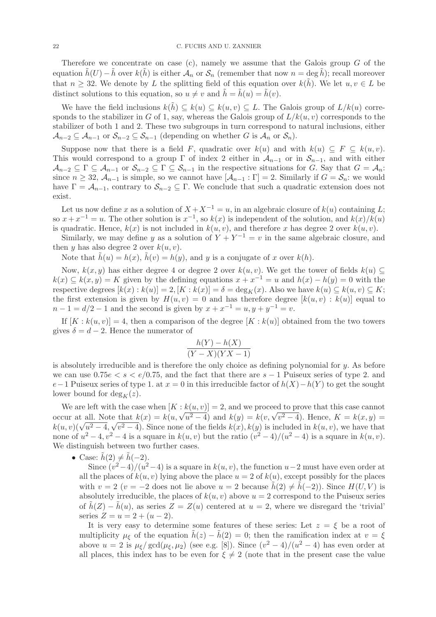Therefore we concentrate on case  $(c)$ , namely we assume that the Galois group G of the equation  $\tilde{h}(U) - \tilde{h}$  over  $k(\tilde{h})$  is either  $\mathcal{A}_n$  or  $\mathcal{S}_n$  (remember that now  $n = \deg \tilde{h}$ ); recall moreover that  $n \geq 32$ . We denote by L the splitting field of this equation over  $k(h)$ . We let  $u, v \in L$  be distinct solutions to this equation, so  $u \neq v$  and  $\tilde{h} = \tilde{h}(u) = \tilde{h}(v)$ .

We have the field inclusions  $k(h) \subseteq k(u) \subseteq k(u, v) \subseteq L$ . The Galois group of  $L/k(u)$  corresponds to the stabilizer in G of 1, say, whereas the Galois group of  $L/k(u, v)$  corresponds to the stabilizer of both 1 and 2. These two subgroups in turn correspond to natural inclusions, either  $\mathcal{A}_{n-2} \subseteq \mathcal{A}_{n-1}$  or  $\mathcal{S}_{n-2} \subseteq \mathcal{S}_{n-1}$  (depending on whether G is  $\mathcal{A}_n$  or  $\mathcal{S}_n$ ).

Suppose now that there is a field F, quadratic over  $k(u)$  and with  $k(u) \subseteq F \subseteq k(u, v)$ . This would correspond to a group  $\Gamma$  of index 2 either in  $\mathcal{A}_{n-1}$  or in  $\mathcal{S}_{n-1}$ , and with either  $\mathcal{A}_{n-2} \subseteq \Gamma \subseteq \mathcal{A}_{n-1}$  or  $\mathcal{S}_{n-2} \subseteq \Gamma \subseteq \mathcal{S}_{n-1}$  in the respective situations for G. Say that  $G = \mathcal{A}_n$ : since  $n \geq 32$ ,  $\mathcal{A}_{n-1}$  is simple, so we cannot have  $[\mathcal{A}_{n-1} : \Gamma] = 2$ . Similarly if  $G = \mathcal{S}_n$ : we would have  $\Gamma = \mathcal{A}_{n-1}$ , contrary to  $\mathcal{S}_{n-2} \subseteq \Gamma$ . We conclude that such a quadratic extension does not exist.

Let us now define x as a solution of  $X + X^{-1} = u$ , in an algebraic closure of  $k(u)$  containing L; so  $x + x^{-1} = u$ . The other solution is  $x^{-1}$ , so  $k(x)$  is independent of the solution, and  $k(x)/k(u)$ is quadratic. Hence,  $k(x)$  is not included in  $k(u, v)$ , and therefore x has degree 2 over  $k(u, v)$ .

Similarly, we may define y as a solution of  $Y + Y^{-1} = v$  in the same algebraic closure, and then y has also degree 2 over  $k(u, v)$ .

Note that  $h(u) = h(x)$ ,  $h(v) = h(y)$ , and y is a conjugate of x over  $k(h)$ .

Now,  $k(x, y)$  has either degree 4 or degree 2 over  $k(u, v)$ . We get the tower of fields  $k(u) \subseteq$  $k(x) \subseteq k(x, y) = K$  given by the defining equations  $x + x^{-1} = u$  and  $h(x) - h(y) = 0$  with the respective degrees  $[k(x):k(u)] = 2$ ,  $[K:k(x)] = \delta = \deg_K(x)$ . Also we have  $k(u) \subseteq k(u, v) \subseteq K$ ; the first extension is given by  $H(u, v) = 0$  and has therefore degree  $[k(u, v) : k(u)]$  equal to  $n-1 = d/2 - 1$  and the second is given by  $x + x^{-1} = u, y + y^{-1} = v$ .

If  $[K : k(u, v)] = 4$ , then a comparison of the degree  $[K : k(u)]$  obtained from the two towers gives  $\delta = d - 2$ . Hence the numerator of

$$
\frac{h(Y) - h(X)}{(Y - X)(YX - 1)}
$$

is absolutely irreducible and is therefore the only choice as defining polynomial for  $y$ . As before we can use  $0.75e < s < e/0.75$ , and the fact that there are  $s - 1$  Puiseux series of type 2. and e−1 Puiseux series of type 1. at  $x = 0$  in this irreducible factor of  $h(X) - h(Y)$  to get the sought lower bound for  $\deg_K(z)$ .

We are left with the case when  $[K : k(u, v)] = 2$ , and we proceed to prove that this case cannot occur at all. Note that  $k(x) = k(u, \sqrt{u^2 - 4})$  and  $k(y) = k(v, \sqrt{v^2 - 4})$ . Hence,  $K = k(x, y) =$  $k(u, v)(\sqrt{u^2-4}, \sqrt{v^2-4})$ . Since none of the fields  $k(x), k(y)$  is included in  $k(u, v)$ , we have that none of  $u^2 - 4$ ,  $v^2 - 4$  is a square in  $k(u, v)$  but the ratio  $(v^2 - 4)/(u^2 - 4)$  is a square in  $k(u, v)$ . We distinguish between two further cases.

• Case:  $\tilde{h}(2) \neq \tilde{h}(-2)$ .

Since  $(v^2-4)/(u^2-4)$  is a square in  $k(u, v)$ , the function  $u-2$  must have even order at all the places of  $k(u, v)$  lying above the place  $u = 2$  of  $k(u)$ , except possibly for the places with  $v = 2$  ( $v = -2$  does not lie above  $u = 2$  because  $h(2) \neq h(-2)$ ). Since  $H(U, V)$  is absolutely irreducible, the places of  $k(u, v)$  above  $u = 2$  correspond to the Puiseux series of  $\hat{h}(Z) - \hat{h}(u)$ , as series  $Z = Z(u)$  centered at  $u = 2$ , where we disregard the 'trivial' series  $Z = u = 2 + (u - 2)$ .

It is very easy to determine some features of these series: Let  $z = \xi$  be a root of multiplicity  $\mu_{\xi}$  of the equation  $\tilde{h}(z) - \tilde{h}(2) = 0$ ; then the ramification index at  $v = \xi$ above  $u = 2$  is  $\mu_{\xi}/\text{gcd}(\mu_{\xi}, \mu_2)$  (see e.g. [8]). Since  $(v^2 - 4)/(u^2 - 4)$  has even order at all places, this index has to be even for  $\xi \neq 2$  (note that in the present case the value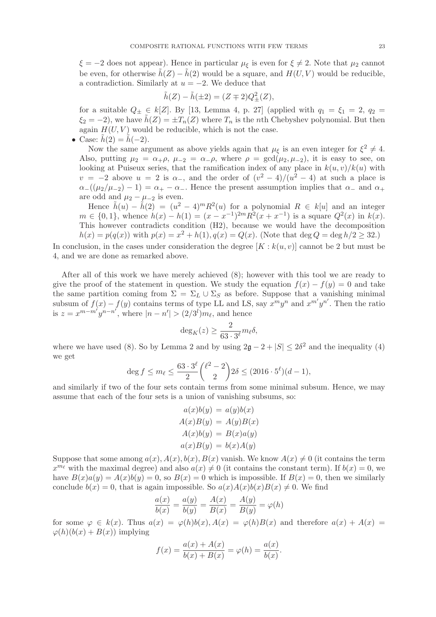$\xi = -2$  does not appear). Hence in particular  $\mu_{\xi}$  is even for  $\xi \neq 2$ . Note that  $\mu_2$  cannot be even, for otherwise  $\tilde{h}(Z) - \tilde{h}(2)$  would be a square, and  $H(U, V)$  would be reducible, a contradiction. Similarly at  $u = -2$ . We deduce that

$$
\tilde{h}(Z) - \tilde{h}(\pm 2) = (Z \mp 2)Q_{\pm}^{2}(Z),
$$

for a suitable  $Q_{\pm} \in k[\mathbb{Z}]$ . By [13, Lemma 4, p. 27] (applied with  $q_1 = \xi_1 = 2$ ,  $q_2 =$  $\xi_2 = -2$ , we have  $h(Z) = \pm T_n(Z)$  where  $T_n$  is the nth Chebyshev polynomial. But then again  $H(U, V)$  would be reducible, which is not the case.

• Case:  $h(2) = h(-2)$ .

Now the same argument as above yields again that  $\mu_{\xi}$  is an even integer for  $\xi^2 \neq 4$ . Also, putting  $\mu_2 = \alpha_+\rho$ ,  $\mu_{-2} = \alpha_-\rho$ , where  $\rho = \gcd(\mu_2, \mu_{-2})$ , it is easy to see, on looking at Puiseux series, that the ramification index of any place in  $k(u, v)/k(u)$  with  $v = -2$  above  $u = 2$  is  $\alpha$ , and the order of  $(v^2 - 4)/(u^2 - 4)$  at such a place is  $\alpha_{-}((\mu_{2}/\mu_{-2})-1)=\alpha_{+}-\alpha_{-}$ . Hence the present assumption implies that  $\alpha_{-}$  and  $\alpha_{+}$ are odd and  $\mu_2 - \mu_{-2}$  is even.

Hence  $\tilde{h}(u) - \tilde{h}(2) = (u^2 - 4)^m R^2(u)$  for a polynomial  $R \in k[u]$  and an integer  $m \in \{0, 1\}$ , whence  $h(x) - h(1) = (x - x^{-1})^{2m} R^2 (x + x^{-1})$  is a square  $Q^2(x)$  in  $k(x)$ . This however contradicts condition (H2), because we would have the decomposition  $h(x) = p(q(x))$  with  $p(x) = x^2 + h(1), q(x) = Q(x)$ . (Note that deg  $Q = \deg h/2 \ge 32$ .)

In conclusion, in the cases under consideration the degree  $[K : k(u, v)]$  cannot be 2 but must be 4, and we are done as remarked above.

After all of this work we have merely achieved (8); however with this tool we are ready to give the proof of the statement in question. We study the equation  $f(x) - f(y) = 0$  and take the same partition coming from  $\Sigma = \Sigma_L \cup \Sigma_S$  as before. Suppose that a vanishing minimal subsum of  $f(x) - f(y)$  contains terms of type LL and LS, say  $x^m y^n$  and  $x^{m'} y^{n'}$ . Then the ratio is  $z = x^{m-m'}y^{n-n'}$ , where  $|n - n'| > (2/3<sup>l</sup>)m<sub>l</sub>$ , and hence

$$
\deg_K(z) \ge \frac{2}{63 \cdot 3^{\ell}} m_{\ell} \delta,
$$

where we have used (8). So by Lemma 2 and by using  $2\mathfrak{g} - 2 + |S| \leq 2\delta^2$  and the inequality (4) we get

$$
\deg f \le m_{\ell} \le \frac{63 \cdot 3^{\ell}}{2} {\binom{\ell^2 - 2}{2}} 2\delta \le (2016 \cdot 5^{\ell})(d - 1),
$$

and similarly if two of the four sets contain terms from some minimal subsum. Hence, we may assume that each of the four sets is a union of vanishing subsums, so:

$$
a(x)b(y) = a(y)b(x)
$$
  
\n
$$
A(x)B(y) = A(y)B(x)
$$
  
\n
$$
A(x)b(y) = B(x)a(y)
$$
  
\n
$$
a(x)B(y) = b(x)A(y)
$$

Suppose that some among  $a(x)$ ,  $A(x)$ ,  $b(x)$ ,  $B(x)$  vanish. We know  $A(x) \neq 0$  (it contains the term  $x^{m_{\ell}}$  with the maximal degree) and also  $a(x) \neq 0$  (it contains the constant term). If  $b(x) = 0$ , we have  $B(x)a(y) = A(x)b(y) = 0$ , so  $B(x) = 0$  which is impossible. If  $B(x) = 0$ , then we similarly conclude  $b(x) = 0$ , that is again impossible. So  $a(x)A(x)b(x)B(x) \neq 0$ . We find

$$
\frac{a(x)}{b(x)} = \frac{a(y)}{b(y)} = \frac{A(x)}{B(x)} = \frac{A(y)}{B(y)} = \varphi(h)
$$

for some  $\varphi \in k(x)$ . Thus  $a(x) = \varphi(h)b(x), A(x) = \varphi(h)B(x)$  and therefore  $a(x) + A(x) =$  $\varphi(h)(b(x) + B(x))$  implying

$$
f(x) = \frac{a(x) + A(x)}{b(x) + B(x)} = \varphi(h) = \frac{a(x)}{b(x)}.
$$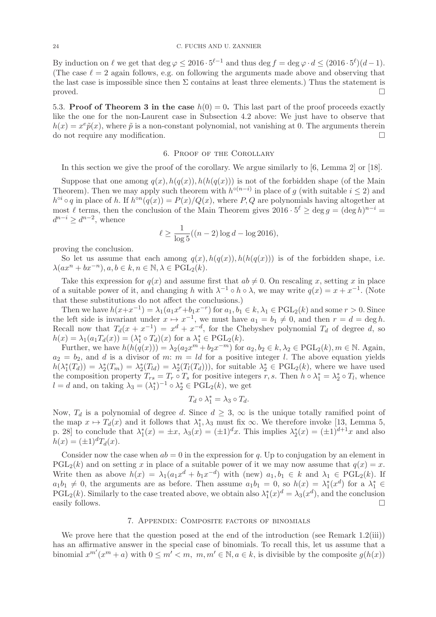By induction on  $\ell$  we get that  $\deg \varphi \leq 2016 \cdot 5^{\ell-1}$  and thus  $\deg f = \deg \varphi \cdot d \leq (2016 \cdot 5^{\ell})(d-1)$ . (The case  $\ell = 2$  again follows, e.g. on following the arguments made above and observing that the last case is impossible since then  $\Sigma$  contains at least three elements.) Thus the statement is proved.  $\Box$ 

5.3. Proof of Theorem 3 in the case  $h(0) = 0$ . This last part of the proof proceeds exactly like the one for the non-Laurent case in Subsection 4.2 above: We just have to observe that  $h(x) = x^e \tilde{p}(x)$ , where  $\tilde{p}$  is a non-constant polynomial, not vanishing at 0. The arguments therein do not require any modification.

#### 6. Proof of the Corollary

In this section we give the proof of the corollary. We argue similarly to [6, Lemma 2] or [18].

Suppose that one among  $q(x)$ ,  $h(q(x))$ ,  $h(h(q(x)))$  is not of the forbidden shape (of the Main Theorem). Then we may apply such theorem with  $h^{\circ(n-i)}$  in place of g (with suitable  $i \leq 2$ ) and  $h^{\circ i} \circ q$  in place of h. If  $h^{\circ n}(q(x)) = P(x)/Q(x)$ , where P, Q are polynomials having altogether at most  $\ell$  terms, then the conclusion of the Main Theorem gives  $2016 \cdot 5^{\ell} \ge \deg g = (\deg h)^{n-i} =$  $d^{n-i} \geq d^{n-2}$ , whence

$$
\ell \ge \frac{1}{\log 5}((n-2)\log d - \log 2016),
$$

proving the conclusion.

So let us assume that each among  $q(x)$ ,  $h(q(x))$ ,  $h(h(q(x)))$  is of the forbidden shape, i.e.  $\lambda(ax^n + bx^{-n}), a, b \in k, n \in \mathbb{N}, \lambda \in \overrightarrow{\mathrm{PGL}_2(k)}.$ 

Take this expression for  $q(x)$  and assume first that  $ab \neq 0$ . On rescaling x, setting x in place of a suitable power of it, and changing h with  $\lambda^{-1} \circ h \circ \lambda$ , we may write  $q(x) = x + x^{-1}$ . (Note that these substitutions do not affect the conclusions.)

Then we have  $h(x+x^{-1}) = \lambda_1(a_1x^r + b_1x^{-r})$  for  $a_1, b_1 \in k, \lambda_1 \in \text{PGL}_2(k)$  and some  $r > 0$ . Since the left side is invariant under  $x \mapsto x^{-1}$ , we must have  $a_1 = b_1 \neq 0$ , and then  $r = d = \deg h$ . Recall now that  $T_d(x+x^{-1}) = x^d + x^{-d}$ , for the Chebyshev polynomial  $T_d$  of degree d, so  $h(x) = \lambda_1(a_1 T_d(x)) = (\lambda_1^* \circ T_d)(x)$  for a  $\lambda_1^* \in \mathrm{PGL}_2(k)$ .

Further, we have  $h(h(q(x))) = \lambda_2(a_2x^m + b_2x^{-m})$  for  $a_2, b_2 \in k, \lambda_2 \in \text{PGL}_2(k), m \in \mathbb{N}$ . Again,  $a_2 = b_2$ , and d is a divisor of m:  $m = ld$  for a positive integer l. The above equation yields  $h(\lambda_1^*(T_d)) = \lambda_2^*(T_m) = \lambda_2^*(T_d(T_d)))$ , for suitable  $\lambda_2^* \in \text{PGL}_2(k)$ , where we have used the composition property  $T_{rs} = T_r \circ T_s$  for positive integers  $r, s$ . Then  $h \circ \lambda_1^* = \lambda_2^* \circ T_l$ , whence  $l = d$  and, on taking  $\lambda_3 = (\lambda_1^*)^{-1} \circ \lambda_2^* \in \mathrm{PGL}_2(k)$ , we get

$$
T_d \circ \lambda_1^* = \lambda_3 \circ T_d.
$$

Now,  $T_d$  is a polynomial of degree d. Since  $d \geq 3$ ,  $\infty$  is the unique totally ramified point of the map  $x \mapsto T_d(x)$  and it follows that  $\lambda_1^*, \lambda_3$  must fix  $\infty$ . We therefore invoke [13, Lemma 5, p. 28] to conclude that  $\lambda_1^*(x) = \pm x$ ,  $\lambda_3(x) = (\pm 1)^d x$ . This implies  $\lambda_2^*(x) = (\pm 1)^{d+1} x$  and also  $h(x) = (\pm 1)^d T_d(x)$ .

Consider now the case when  $ab = 0$  in the expression for q. Up to conjugation by an element in  $PGL_2(k)$  and on setting x in place of a suitable power of it we may now assume that  $q(x) = x$ . Write then as above  $h(x) = \lambda_1(a_1x^d + b_1x^{-d})$  with (new)  $a_1, b_1 \in k$  and  $\lambda_1 \in \text{PGL}_2(k)$ . If  $a_1b_1 \neq 0$ , the arguments are as before. Then assume  $a_1b_1 = 0$ , so  $h(x) = \lambda_1^*(x^d)$  for a  $\lambda_1^* \in$  $PGL_2(k)$ . Similarly to the case treated above, we obtain also  $\lambda_1^*(x)^d = \lambda_3(x^d)$ , and the conclusion easily follows.  $\Box$ 

# 7. Appendix: Composite factors of binomials

We prove here that the question posed at the end of the introduction (see Remark 1.2(iii)) has an affirmative answer in the special case of binomials. To recall this, let us assume that a binomial  $x^{m'}(x^m + a)$  with  $0 \leq m' < m$ ,  $m, m' \in \mathbb{N}, a \in k$ , is divisible by the composite  $g(h(x))$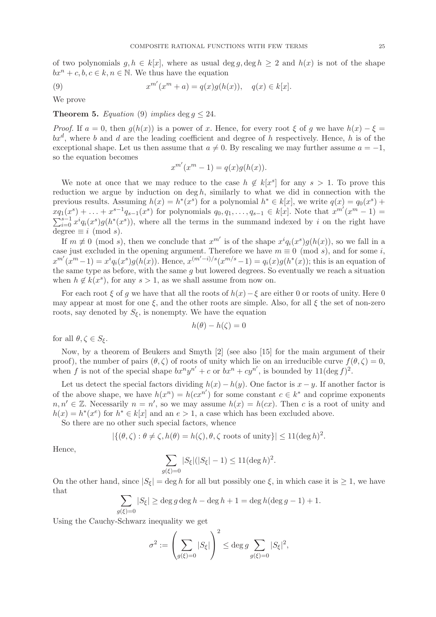of two polynomials  $g, h \in k[x]$ , where as usual deg  $g, \deg h \geq 2$  and  $h(x)$  is not of the shape  $bx^n + c, b, c \in k, n \in \mathbb{N}$ . We thus have the equation

(9) 
$$
x^{m'}(x^m + a) = q(x)g(h(x)), \quad q(x) \in k[x].
$$

We prove

### **Theorem 5.** Equation (9) implies deg  $q \leq 24$ .

*Proof.* If  $a = 0$ , then  $q(h(x))$  is a power of x. Hence, for every root  $\xi$  of q we have  $h(x) - \xi =$  $bx^d$ , where b and d are the leading coefficient and degree of h respectively. Hence, h is of the exceptional shape. Let us then assume that  $a \neq 0$ . By rescaling we may further assume  $a = -1$ , so the equation becomes

$$
x^{m'}(x^m - 1) = q(x)g(h(x)).
$$

We note at once that we may reduce to the case  $h \notin k[x^s]$  for any  $s > 1$ . To prove this reduction we argue by induction on  $\deg h$ , similarly to what we did in connection with the previous results. Assuming  $h(x) = h^*(x^s)$  for a polynomial  $h^* \in k[x]$ , we write  $q(x) = q_0(x^s) +$  $xq_1(x^s) + \ldots + x^{s-1}q_{s-1}(x^s)$  for polynomials  $q_0, q_1, \ldots, q_{s-1} \in k[x]$ . Note that  $x^{m'}(x^m - 1) =$  $\sum_{i=0}^{s-1} x^i q_i(x^s) g(h^*(x^s))$ , where all the terms in the summand indexed by i on the right have degree  $\equiv i \pmod{s}$ .

If  $m \not\equiv 0 \pmod{s}$ , then we conclude that  $x^{m'}$  is of the shape  $x^{i}q_{i}(x^{s})g(h(x))$ , so we fall in a case just excluded in the opening argument. Therefore we have  $m \equiv 0 \pmod{s}$ , and for some i,  $x^{m'}(x^m-1) = x^i q_i(x^s) g(h(x))$ . Hence,  $x^{(m'-i)/s}(x^{m/s}-1) = q_i(x) g(h^*(x))$ ; this is an equation of the same type as before, with the same  $q$  but lowered degrees. So eventually we reach a situation when  $h \notin k(x^s)$ , for any  $s > 1$ , as we shall assume from now on.

For each root  $\xi$  of q we have that all the roots of  $h(x)$ − $\xi$  are either 0 or roots of unity. Here 0 may appear at most for one  $\xi$ , and the other roots are simple. Also, for all  $\xi$  the set of non-zero roots, say denoted by  $S_{\xi}$ , is nonempty. We have the equation

$$
h(\theta) - h(\zeta) = 0
$$

for all  $\theta, \zeta \in S_{\xi}$ .

Now, by a theorem of Beukers and Smyth [2] (see also [15] for the main argument of their proof), the number of pairs  $(\theta, \zeta)$  of roots of unity which lie on an irreducible curve  $f(\theta, \zeta) = 0$ , when f is not of the special shape  $bx^ny^{n'} + c$  or  $bx^n + cy^{n'}$ , is bounded by  $11(\deg f)^2$ .

Let us detect the special factors dividing  $h(x) - h(y)$ . One factor is  $x - y$ . If another factor is of the above shape, we have  $h(x^n) = h(cx^{n'})$  for some constant  $c \in k^*$  and coprime exponents  $n, n' \in \mathbb{Z}$ . Necessarily  $n = n'$ , so we may assume  $h(x) = h(cx)$ . Then c is a root of unity and  $h(x) = h^*(x^e)$  for  $h^* \in k[x]$  and an  $e > 1$ , a case which has been excluded above.

So there are no other such special factors, whence

$$
|\{(\theta,\zeta): \theta \neq \zeta, h(\theta) = h(\zeta), \theta, \zeta \text{ roots of unity}\}| \leq 11(\deg h)^2.
$$

Hence,

$$
\sum_{g(\xi)=0} |S_{\xi}|(|S_{\xi}|-1) \le 11(\deg h)^2.
$$

On the other hand, since  $|S_{\xi}| = \deg h$  for all but possibly one  $\xi$ , in which case it is  $\geq 1$ , we have that

$$
\sum_{g(\xi)=0} |S_{\xi}| \ge \deg g \deg h - \deg h + 1 = \deg h(\deg g - 1) + 1.
$$

Using the Cauchy-Schwarz inequality we get

$$
\sigma^2 := \left(\sum_{g(\xi)=0} |S_{\xi}|\right)^2 \le \deg g \sum_{g(\xi)=0} |S_{\xi}|^2,
$$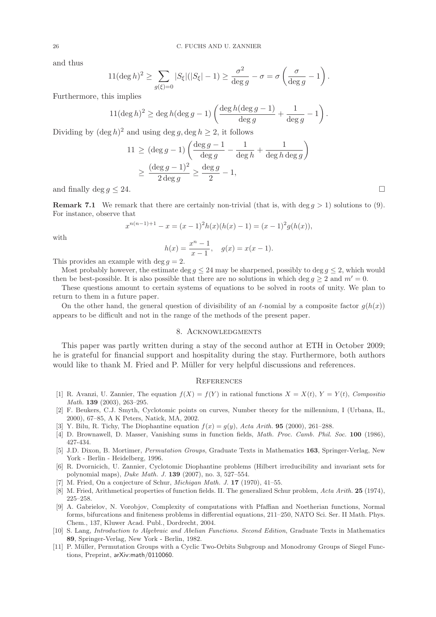and thus

$$
11(\deg h)^2 \ge \sum_{g(\xi)=0} |S_{\xi}|(|S_{\xi}|-1) \ge \frac{\sigma^2}{\deg g} - \sigma = \sigma \left(\frac{\sigma}{\deg g} - 1\right).
$$

 $\alpha$ 

Furthermore, this implies

$$
11(\deg h)^{2} \ge \deg h(\deg g - 1)\left(\frac{\deg h(\deg g - 1)}{\deg g} + \frac{1}{\deg g} - 1\right).
$$

Dividing by  $(\deg h)^2$  and using  $\deg g$ ,  $\deg h \ge 2$ , it follows

$$
11 \geq (\deg g - 1) \left( \frac{\deg g - 1}{\deg g} - \frac{1}{\deg h} + \frac{1}{\deg h \deg g} \right)
$$
  
 
$$
\geq \frac{(\deg g - 1)^2}{2 \deg g} \geq \frac{\deg g}{2} - 1,
$$

and finally deg  $q \leq 24$ .

**Remark 7.1** We remark that there are certainly non-trivial (that is, with deg  $q > 1$ ) solutions to (9). For instance, observe that

$$
x^{n(n-1)+1} - x = (x - 1)^2 h(x)(h(x) - 1) = (x - 1)^2 g(h(x)),
$$

with

$$
h(x) = \frac{x^n - 1}{x - 1}, \quad g(x) = x(x - 1).
$$

This provides an example with deg  $q = 2$ .

Most probably however, the estimate deg  $q \leq 24$  may be sharpened, possibly to deg  $q \leq 2$ , which would then be best-possible. It is also possible that there are no solutions in which deg  $q \geq 2$  and  $m' = 0$ .

These questions amount to certain systems of equations to be solved in roots of unity. We plan to return to them in a future paper.

On the other hand, the general question of divisibility of an  $\ell$ -nomial by a composite factor  $g(h(x))$ appears to be difficult and not in the range of the methods of the present paper.

# 8. Acknowledgments

This paper was partly written during a stay of the second author at ETH in October 2009; he is grateful for financial support and hospitality during the stay. Furthermore, both authors would like to thank M. Fried and P. Müller for very helpful discussions and references.

# **REFERENCES**

- [1] R. Avanzi, U. Zannier, The equation  $f(X) = f(Y)$  in rational functions  $X = X(t)$ ,  $Y = Y(t)$ , Composition Math. **139** (2003), 263-295.
- [2] F. Beukers, C.J. Smyth, Cyclotomic points on curves, Number theory for the millennium, I (Urbana, IL, 2000), 67–85, A K Peters, Natick, MA, 2002.
- [3] Y. Bilu, R. Tichy, The Diophantine equation  $f(x) = g(y)$ , Acta Arith. **95** (2000), 261–288.
- [4] D. Brownawell, D. Masser, Vanishing sums in function fields, Math. Proc. Camb. Phil. Soc. 100 (1986), 427-434.
- [5] J.D. Dixon, B. Mortimer, Permutation Groups, Graduate Texts in Mathematics 163, Springer-Verlag, New York - Berlin - Heidelberg, 1996.
- [6] R. Dvornicich, U. Zannier, Cyclotomic Diophantine problems (Hilbert irreducibility and invariant sets for polynomial maps), Duke Math. J. 139 (2007), no. 3, 527–554.
- [7] M. Fried, On a conjecture of Schur, *Michigan Math. J.* **17** (1970), 41–55.
- [8] M. Fried, Arithmetical properties of function fields. II. The generalized Schur problem, Acta Arith. 25 (1974), 225–258.
- [9] A. Gabrielov, N. Vorobjov, Complexity of computations with Pfaffian and Noetherian functions, Normal forms, bifurcations and finiteness problems in differential equations, 211–250, NATO Sci. Ser. II Math. Phys. Chem., 137, Kluwer Acad. Publ., Dordrecht, 2004.
- [10] S. Lang, Introduction to Algebraic and Abelian Functions. Second Edition, Graduate Texts in Mathematics 89, Springer-Verlag, New York - Berlin, 1982.
- [11] P. Müller, Permutation Groups with a Cyclic Two-Orbits Subgroup and Monodromy Groups of Siegel Functions, Preprint, arXiv:math/0110060.